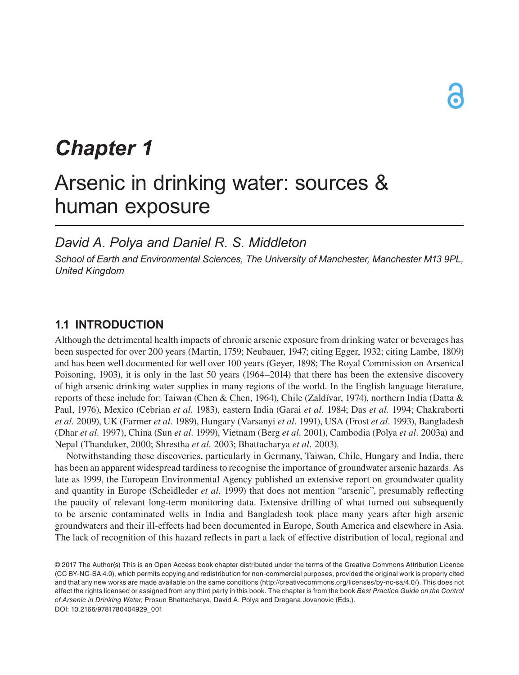# *Chapter 1*

# Arsenic in drinking water: sources & human exposure

# *David A. Polya and Daniel R. S. Middleton*

*School of Earth and Environmental Sciences, The University of Manchester, Manchester M13 9PL, United Kingdom*

## **1.1 INTRODUCTION**

Although the detrimental health impacts of chronic arsenic exposure from drinking water or beverages has been suspected for over 200 years (Martin, 1759; Neubauer, 1947; citing Egger, 1932; citing Lambe, 1809) and has been well documented for well over 100 years (Geyer, 1898; The Royal Commission on Arsenical Poisoning, 1903), it is only in the last 50 years (1964–2014) that there has been the extensive discovery of high arsenic drinking water supplies in many regions of the world. In the English language literature, reports of these include for: Taiwan (Chen & Chen, 1964), Chile (Zaldívar, 1974), northern India (Datta & Paul, 1976), Mexico (Cebrian *et al.* 1983), eastern India (Garai *et al.* 1984; Das *et al.* 1994; Chakraborti *et al.* 2009), UK (Farmer *et al.* 1989), Hungary (Varsanyi *et al.* 1991), USA (Frost *et al.* 1993), Bangladesh (Dhar *et al.* 1997), China (Sun *et al.* 1999), Vietnam (Berg *et al.* 2001), Cambodia (Polya *et al.* 2003a) and Nepal (Thanduker, 2000; Shrestha *et al.* 2003; Bhattacharya *et al.* 2003).

Notwithstanding these discoveries, particularly in Germany, Taiwan, Chile, Hungary and India, there has been an apparent widespread tardiness to recognise the importance of groundwater arsenic hazards. As late as 1999, the European Environmental Agency published an extensive report on groundwater quality and quantity in Europe (Scheidleder *et al.* 1999) that does not mention "arsenic", presumably reflecting the paucity of relevant long-term monitoring data. Extensive drilling of what turned out subsequently to be arsenic contaminated wells in India and Bangladesh took place many years after high arsenic groundwaters and their ill-effects had been documented in Europe, South America and elsewhere in Asia. The lack of recognition of this hazard reflects in part a lack of effective distribution of local, regional and

<sup>© 2017</sup> The Author(s) This is an Open Access book chapter distributed under the terms of the Creative Commons Attribution Licence (CC BY-NC-SA 4.0), which permits copying and redistribution for non-commercial purposes, provided the original work is properly cited and that any new works are made available on the same conditions (http://creativecommons.org/licenses/by-nc-sa/4.0/). This does not affect the rights licensed or assigned from any third party in this book. The chapter is from the book *Best Practice Guide on the Control of Arsenic in Drinking Water*, Prosun Bhattacharya, David A. Polya and Dragana Jovanovic (Eds.). DOI: 10.2166/9781780404929\_001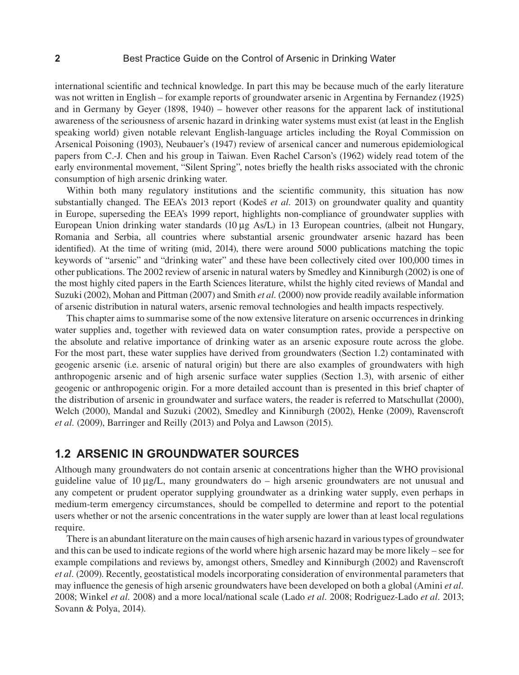international scientific and technical knowledge. In part this may be because much of the early literature was not written in English – for example reports of groundwater arsenic in Argentina by Fernandez (1925) and in Germany by Geyer (1898, 1940) – however other reasons for the apparent lack of institutional awareness of the seriousness of arsenic hazard in drinking water systems must exist (at least in the English speaking world) given notable relevant English-language articles including the Royal Commission on Arsenical Poisoning (1903), Neubauer's (1947) review of arsenical cancer and numerous epidemiological papers from C.-J. Chen and his group in Taiwan. Even Rachel Carson's (1962) widely read totem of the early environmental movement, "Silent Spring", notes briefly the health risks associated with the chronic consumption of high arsenic drinking water.

Within both many regulatory institutions and the scientific community, this situation has now substantially changed. The EEA's 2013 report (Kodeš *et al.* 2013) on groundwater quality and quantity in Europe, superseding the EEA's 1999 report, highlights non-compliance of groundwater supplies with European Union drinking water standards (10 µg As/L) in 13 European countries, (albeit not Hungary, Romania and Serbia, all countries where substantial arsenic groundwater arsenic hazard has been identified). At the time of writing (mid, 2014), there were around 5000 publications matching the topic keywords of "arsenic" and "drinking water" and these have been collectively cited over 100,000 times in other publications. The 2002 review of arsenic in natural waters by Smedley and Kinniburgh (2002) is one of the most highly cited papers in the Earth Sciences literature, whilst the highly cited reviews of Mandal and Suzuki (2002), Mohan and Pittman (2007) and Smith *et al.* (2000) now provide readily available information of arsenic distribution in natural waters, arsenic removal technologies and health impacts respectively.

This chapter aims to summarise some of the now extensive literature on arsenic occurrences in drinking water supplies and, together with reviewed data on water consumption rates, provide a perspective on the absolute and relative importance of drinking water as an arsenic exposure route across the globe. For the most part, these water supplies have derived from groundwaters (Section 1.2) contaminated with geogenic arsenic (i.e. arsenic of natural origin) but there are also examples of groundwaters with high anthropogenic arsenic and of high arsenic surface water supplies (Section 1.3), with arsenic of either geogenic or anthropogenic origin. For a more detailed account than is presented in this brief chapter of the distribution of arsenic in groundwater and surface waters, the reader is referred to Matschullat (2000), Welch (2000), Mandal and Suzuki (2002), Smedley and Kinniburgh (2002), Henke (2009), Ravenscroft *et al.* (2009), Barringer and Reilly (2013) and Polya and Lawson (2015).

## **1.2 ARSENIC IN GROUNDWATER SOURCES**

Although many groundwaters do not contain arsenic at concentrations higher than the WHO provisional guideline value of  $10 \mu g/L$ , many groundwaters do – high arsenic groundwaters are not unusual and any competent or prudent operator supplying groundwater as a drinking water supply, even perhaps in medium-term emergency circumstances, should be compelled to determine and report to the potential users whether or not the arsenic concentrations in the water supply are lower than at least local regulations require.

There is an abundant literature on the main causes of high arsenic hazard in various types of groundwater and this can be used to indicate regions of the world where high arsenic hazard may be more likely – see for example compilations and reviews by, amongst others, Smedley and Kinniburgh (2002) and Ravenscroft *et al.* (2009). Recently, geostatistical models incorporating consideration of environmental parameters that may influence the genesis of high arsenic groundwaters have been developed on both a global (Amini *et al.* 2008; Winkel *et al.* 2008) and a more local/national scale (Lado *et al.* 2008; Rodriguez-Lado *et al.* 2013; Sovann & Polya, 2014).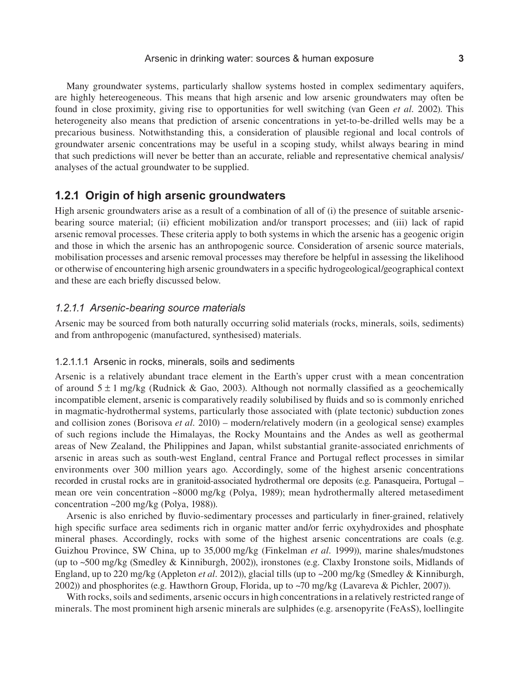#### Arsenic in drinking water: sources & human exposure **3**

Many groundwater systems, particularly shallow systems hosted in complex sedimentary aquifers, are highly hetereogeneous. This means that high arsenic and low arsenic groundwaters may often be found in close proximity, giving rise to opportunities for well switching (van Geen *et al.* 2002). This heterogeneity also means that prediction of arsenic concentrations in yet-to-be-drilled wells may be a precarious business. Notwithstanding this, a consideration of plausible regional and local controls of groundwater arsenic concentrations may be useful in a scoping study, whilst always bearing in mind that such predictions will never be better than an accurate, reliable and representative chemical analysis/ analyses of the actual groundwater to be supplied.

## **1.2.1 Origin of high arsenic groundwaters**

High arsenic groundwaters arise as a result of a combination of all of (i) the presence of suitable arsenicbearing source material; (ii) efficient mobilization and/or transport processes; and (iii) lack of rapid arsenic removal processes. These criteria apply to both systems in which the arsenic has a geogenic origin and those in which the arsenic has an anthropogenic source. Consideration of arsenic source materials, mobilisation processes and arsenic removal processes may therefore be helpful in assessing the likelihood or otherwise of encountering high arsenic groundwaters in a specific hydrogeological/geographical context and these are each briefly discussed below.

#### *1.2.1.1 Arsenic-bearing source materials*

Arsenic may be sourced from both naturally occurring solid materials (rocks, minerals, soils, sediments) and from anthropogenic (manufactured, synthesised) materials.

#### 1.2.1.1.1 Arsenic in rocks, minerals, soils and sediments

Arsenic is a relatively abundant trace element in the Earth's upper crust with a mean concentration of around  $5 \pm 1$  mg/kg (Rudnick & Gao, 2003). Although not normally classified as a geochemically incompatible element, arsenic is comparatively readily solubilised by fluids and so is commonly enriched in magmatic-hydrothermal systems, particularly those associated with (plate tectonic) subduction zones and collision zones (Borisova *et al.* 2010) – modern/relatively modern (in a geological sense) examples of such regions include the Himalayas, the Rocky Mountains and the Andes as well as geothermal areas of New Zealand, the Philippines and Japan, whilst substantial granite-associated enrichments of arsenic in areas such as south-west England, central France and Portugal reflect processes in similar environments over 300 million years ago. Accordingly, some of the highest arsenic concentrations recorded in crustal rocks are in granitoid-associated hydrothermal ore deposits (e.g. Panasqueira, Portugal – mean ore vein concentration ~8000 mg/kg (Polya, 1989); mean hydrothermally altered metasediment concentration ~200 mg/kg (Polya, 1988)).

Arsenic is also enriched by fluvio-sedimentary processes and particularly in finer-grained, relatively high specific surface area sediments rich in organic matter and/or ferric oxyhydroxides and phosphate mineral phases. Accordingly, rocks with some of the highest arsenic concentrations are coals (e.g. Guizhou Province, SW China, up to 35,000 mg/kg (Finkelman *et al.* 1999)), marine shales/mudstones (up to ~500 mg/kg (Smedley & Kinniburgh, 2002)), ironstones (e.g. Claxby Ironstone soils, Midlands of England, up to 220 mg/kg (Appleton *et al.* 2012)), glacial tills (up to ~200 mg/kg (Smedley & Kinniburgh, 2002)) and phosphorites (e.g. Hawthorn Group, Florida, up to  $\sim$ 70 mg/kg (Lavareva & Pichler, 2007)).

With rocks, soils and sediments, arsenic occurs in high concentrations in a relatively restricted range of minerals. The most prominent high arsenic minerals are sulphides (e.g. arsenopyrite (FeAsS), loellingite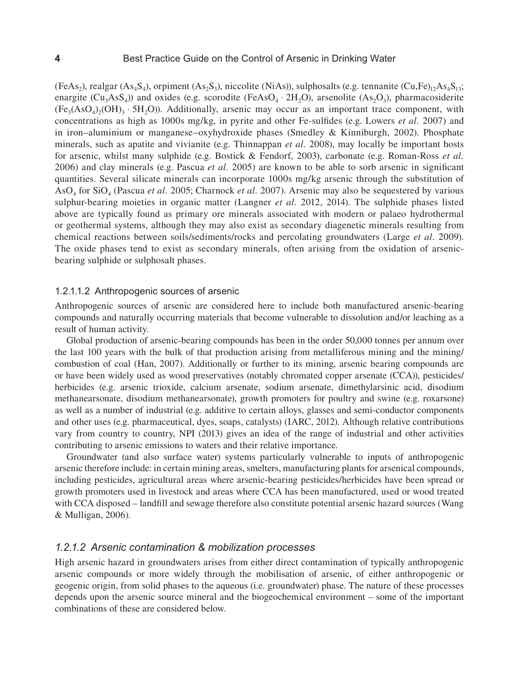$(FeAs<sub>2</sub>)$ , realgar  $(As<sub>4</sub>S<sub>4</sub>)$ , orpiment  $(As<sub>2</sub>S<sub>3</sub>)$ , niccolite (NiAs)), sulphosalts (e.g. tennanite  $(Cu,Fe)<sub>12</sub>As<sub>4</sub>S<sub>13</sub>$ ; enargite  $(Cu_3AsS_4)$ ) and oxides (e.g. scorodite (FeAsO<sub>4</sub> ⋅ 2H<sub>2</sub>O), arsenolite (As<sub>2</sub>O<sub>3</sub>), pharmacosiderite  $(F_{\mathcal{C}_3}(AsO_4), (OH)_3 \cdot 5H_2O)$ ). Additionally, arsenic may occur as an important trace component, with concentrations as high as 1000s mg/kg, in pyrite and other Fe-sulfides (e.g. Lowers *et al.* 2007) and in iron–aluminium or manganese–oxyhydroxide phases (Smedley & Kinniburgh, 2002). Phosphate minerals, such as apatite and vivianite (e.g. Thinnappan *et al.* 2008), may locally be important hosts for arsenic, whilst many sulphide (e.g. Bostick & Fendorf, 2003), carbonate (e.g. Roman-Ross *et al.* 2006) and clay minerals (e.g. Pascua *et al.* 2005) are known to be able to sorb arsenic in significant quantities. Several silicate minerals can incorporate 1000s mg/kg arsenic through the substitution of AsO4 for SiO4 (Pascua *et al.* 2005; Charnock *et al.* 2007). Arsenic may also be sequestered by various sulphur-bearing moieties in organic matter (Langner *et al.* 2012, 2014). The sulphide phases listed above are typically found as primary ore minerals associated with modern or palaeo hydrothermal or geothermal systems, although they may also exist as secondary diagenetic minerals resulting from chemical reactions between soils/sediments/rocks and percolating groundwaters (Large *et al.* 2009). The oxide phases tend to exist as secondary minerals, often arising from the oxidation of arsenicbearing sulphide or sulphosalt phases.

#### 1.2.1.1.2 Anthropogenic sources of arsenic

Anthropogenic sources of arsenic are considered here to include both manufactured arsenic-bearing compounds and naturally occurring materials that become vulnerable to dissolution and/or leaching as a result of human activity.

Global production of arsenic-bearing compounds has been in the order 50,000 tonnes per annum over the last 100 years with the bulk of that production arising from metalliferous mining and the mining/ combustion of coal (Han, 2007). Additionally or further to its mining, arsenic bearing compounds are or have been widely used as wood preservatives (notably chromated copper arsenate (CCA)), pesticides/ herbicides (e.g. arsenic trioxide, calcium arsenate, sodium arsenate, dimethylarsinic acid, disodium methanearsonate, disodium methanearsonate), growth promoters for poultry and swine (e.g. roxarsone) as well as a number of industrial (e.g. additive to certain alloys, glasses and semi-conductor components and other uses (e.g. pharmaceutical, dyes, soaps, catalysts) (IARC, 2012). Although relative contributions vary from country to country, NPI (2013) gives an idea of the range of industrial and other activities contributing to arsenic emissions to waters and their relative importance.

Groundwater (and also surface water) systems particularly vulnerable to inputs of anthropogenic arsenic therefore include: in certain mining areas, smelters, manufacturing plants for arsenical compounds, including pesticides, agricultural areas where arsenic-bearing pesticides/herbicides have been spread or growth promoters used in livestock and areas where CCA has been manufactured, used or wood treated with CCA disposed – landfill and sewage therefore also constitute potential arsenic hazard sources (Wang & Mulligan, 2006).

#### *1.2.1.2 Arsenic contamination & mobilization processes*

High arsenic hazard in groundwaters arises from either direct contamination of typically anthropogenic arsenic compounds or more widely through the mobilisation of arsenic, of either anthropogenic or geogenic origin, from solid phases to the aqueous (i.e. groundwater) phase. The nature of these processes depends upon the arsenic source mineral and the biogeochemical environment – some of the important combinations of these are considered below.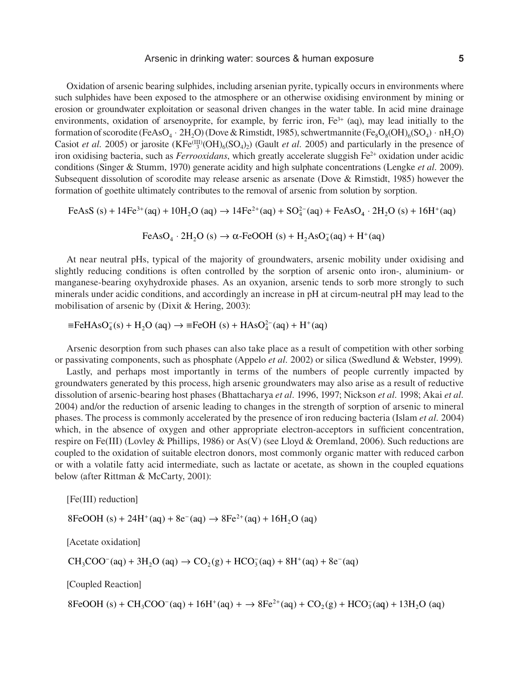#### Arsenic in drinking water: sources & human exposure **5**

Oxidation of arsenic bearing sulphides, including arsenian pyrite, typically occurs in environments where such sulphides have been exposed to the atmosphere or an otherwise oxidising environment by mining or erosion or groundwater exploitation or seasonal driven changes in the water table. In acid mine drainage environments, oxidation of arsenoyprite, for example, by ferric iron,  $Fe<sup>3+</sup>$  (aq), may lead initially to the formation of scorodite (FeAsO<sub>4</sub> ⋅ 2H<sub>2</sub>O) (Dove & Rimstidt, 1985), schwertmannite (Fe<sub>8</sub>O<sub>8</sub>(OH)<sub>6</sub>(SO<sub>4</sub>) ⋅ nH<sub>2</sub>O) Casiot *et al.* 2005) or jarosite  $(KFe^{(III)}(OH)_6(SO_4)_2)$  (Gault *et al.* 2005) and particularly in the presence of iron oxidising bacteria, such as *Ferrooxidans*, which greatly accelerate sluggish Fe2+ oxidation under acidic conditions (Singer & Stumm, 1970) generate acidity and high sulphate concentrations (Lengke *et al.* 2009). Subsequent dissolution of scorodite may release arsenic as arsenate (Dove & Rimstidt, 1985) however the formation of goethite ultimately contributes to the removal of arsenic from solution by sorption.

FeAsS (s) + 14Fe<sup>3+</sup>(aq) + 10H<sub>2</sub>O (aq) 
$$
\rightarrow
$$
 14Fe<sup>2+</sup>(aq) + SO<sub>4</sub><sup>2-</sup>(aq) + FeAsO<sub>4</sub> · 2H<sub>2</sub>O (s) + 16H<sup>+</sup>(aq)

FeAsO<sub>4</sub> · 2H<sub>2</sub>O (s)  $\rightarrow \alpha$ -FeOOH (s) + H<sub>2</sub>AsO<sub>4</sub> (aq) + H<sup>+</sup>(aq)

At near neutral pHs, typical of the majority of groundwaters, arsenic mobility under oxidising and slightly reducing conditions is often controlled by the sorption of arsenic onto iron-, aluminium- or manganese-bearing oxyhydroxide phases. As an oxyanion, arsenic tends to sorb more strongly to such minerals under acidic conditions, and accordingly an increase in pH at circum-neutral pH may lead to the mobilisation of arsenic by (Dixit & Hering, 2003):

 $\equiv$ FeHAsO<sub>4</sub>(s) + H<sub>2</sub>O (aq)  $\rightarrow$   $\equiv$ FeOH (s) + HAsO<sub>4</sub><sup>2</sup> (aq) + H<sup>+</sup>(aq)

Arsenic desorption from such phases can also take place as a result of competition with other sorbing or passivating components, such as phosphate (Appelo *et al.* 2002) or silica (Swedlund & Webster, 1999).

Lastly, and perhaps most importantly in terms of the numbers of people currently impacted by groundwaters generated by this process, high arsenic groundwaters may also arise as a result of reductive dissolution of arsenic-bearing host phases (Bhattacharya *et al.* 1996, 1997; Nickson *et al.* 1998; Akai *et al.* 2004) and/or the reduction of arsenic leading to changes in the strength of sorption of arsenic to mineral phases. The process is commonly accelerated by the presence of iron reducing bacteria (Islam *et al.* 2004) which, in the absence of oxygen and other appropriate electron-acceptors in sufficient concentration, respire on Fe(III) (Lovley & Phillips, 1986) or As(V) (see Lloyd & Oremland, 2006). Such reductions are coupled to the oxidation of suitable electron donors, most commonly organic matter with reduced carbon or with a volatile fatty acid intermediate, such as lactate or acetate, as shown in the coupled equations below (after Rittman & McCarty, 2001):

[Fe(III) reduction]

 $8 \text{FeOOH (s)} + 24 \text{H}^{+}(\text{aq}) + 8 \text{e}^{-}(\text{aq}) \rightarrow 8 \text{Fe}^{2+}(\text{aq}) + 16 \text{H}_{2}\text{O (aq)}$ 

[Acetate oxidation]

 $CH_3COO^-(aq) + 3H_2O$  (aq)  $\rightarrow CO_2(g) + HCO_3^-(aq) + 8H^+(aq) + 8e^-(aq)$ 

[Coupled Reaction]

 $8 FeOOH(s) + CH_3 COO^-(aq) + 16H^+(aq) + \rightarrow 8Fe^{2+}(aq) + CO_2(g) + HCO_3^-(aq) + 13H_2O$  (aq)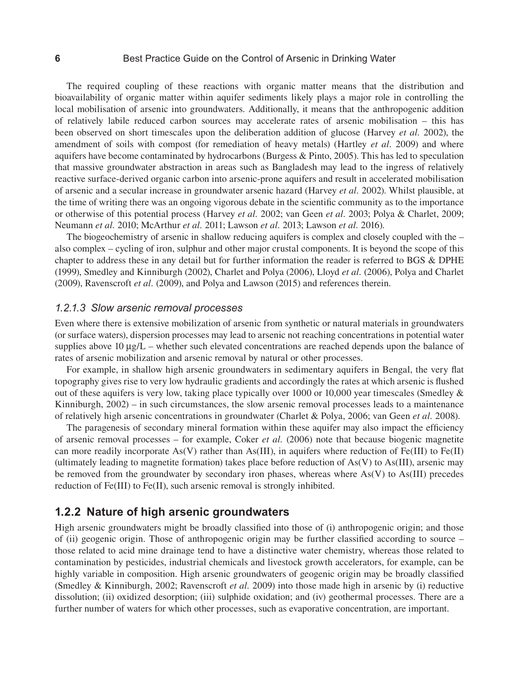#### **6** Best Practice Guide on the Control of Arsenic in Drinking Water

The required coupling of these reactions with organic matter means that the distribution and bioavailability of organic matter within aquifer sediments likely plays a major role in controlling the local mobilisation of arsenic into groundwaters. Additionally, it means that the anthropogenic addition of relatively labile reduced carbon sources may accelerate rates of arsenic mobilisation – this has been observed on short timescales upon the deliberation addition of glucose (Harvey *et al.* 2002), the amendment of soils with compost (for remediation of heavy metals) (Hartley *et al.* 2009) and where aquifers have become contaminated by hydrocarbons (Burgess & Pinto, 2005). This has led to speculation that massive groundwater abstraction in areas such as Bangladesh may lead to the ingress of relatively reactive surface-derived organic carbon into arsenic-prone aquifers and result in accelerated mobilisation of arsenic and a secular increase in groundwater arsenic hazard (Harvey *et al.* 2002). Whilst plausible, at the time of writing there was an ongoing vigorous debate in the scientific community as to the importance or otherwise of this potential process (Harvey *et al.* 2002; van Geen *et al.* 2003; Polya & Charlet, 2009; Neumann *et al.* 2010; McArthur *et al.* 2011; Lawson *et al.* 2013; Lawson *et al.* 2016).

The biogeochemistry of arsenic in shallow reducing aquifers is complex and closely coupled with the – also complex – cycling of iron, sulphur and other major crustal components. It is beyond the scope of this chapter to address these in any detail but for further information the reader is referred to BGS & DPHE (1999), Smedley and Kinniburgh (2002), Charlet and Polya (2006), Lloyd *et al.* (2006), Polya and Charlet (2009), Ravenscroft *et al.* (2009), and Polya and Lawson (2015) and references therein.

#### *1.2.1.3 Slow arsenic removal processes*

Even where there is extensive mobilization of arsenic from synthetic or natural materials in groundwaters (or surface waters), dispersion processes may lead to arsenic not reaching concentrations in potential water supplies above  $10 \mu g/L$  – whether such elevated concentrations are reached depends upon the balance of rates of arsenic mobilization and arsenic removal by natural or other processes.

For example, in shallow high arsenic groundwaters in sedimentary aquifers in Bengal, the very flat topography gives rise to very low hydraulic gradients and accordingly the rates at which arsenic is flushed out of these aquifers is very low, taking place typically over 1000 or 10,000 year timescales (Smedley & Kinniburgh, 2002) – in such circumstances, the slow arsenic removal processes leads to a maintenance of relatively high arsenic concentrations in groundwater (Charlet & Polya, 2006; van Geen *et al.* 2008).

The paragenesis of secondary mineral formation within these aquifer may also impact the efficiency of arsenic removal processes – for example, Coker *et al.* (2006) note that because biogenic magnetite can more readily incorporate As(V) rather than As(III), in aquifers where reduction of Fe(III) to Fe(II) (ultimately leading to magnetite formation) takes place before reduction of  $As(V)$  to  $As(III)$ , arsenic may be removed from the groundwater by secondary iron phases, whereas where As(V) to As(III) precedes reduction of Fe(III) to Fe(II), such arsenic removal is strongly inhibited.

### **1.2.2 Nature of high arsenic groundwaters**

High arsenic groundwaters might be broadly classified into those of (i) anthropogenic origin; and those of (ii) geogenic origin. Those of anthropogenic origin may be further classified according to source – those related to acid mine drainage tend to have a distinctive water chemistry, whereas those related to contamination by pesticides, industrial chemicals and livestock growth accelerators, for example, can be highly variable in composition. High arsenic groundwaters of geogenic origin may be broadly classified (Smedley & Kinniburgh, 2002; Ravenscroft *et al.* 2009) into those made high in arsenic by (i) reductive dissolution; (ii) oxidized desorption; (iii) sulphide oxidation; and (iv) geothermal processes. There are a further number of waters for which other processes, such as evaporative concentration, are important.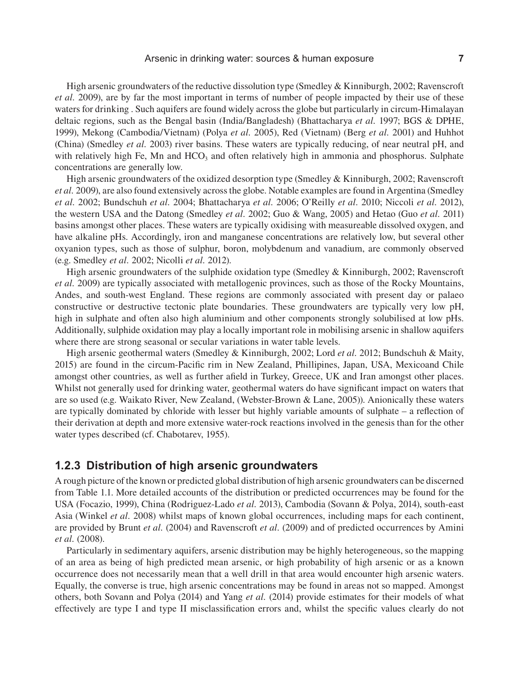High arsenic groundwaters of the reductive dissolution type (Smedley & Kinniburgh, 2002; Ravenscroft *et al.* 2009), are by far the most important in terms of number of people impacted by their use of these waters for drinking . Such aquifers are found widely across the globe but particularly in circum-Himalayan deltaic regions, such as the Bengal basin (India/Bangladesh) (Bhattacharya *et al.* 1997; BGS & DPHE, 1999), Mekong (Cambodia/Vietnam) (Polya *et al.* 2005), Red (Vietnam) (Berg *et al.* 2001) and Huhhot (China) (Smedley *et al.* 2003) river basins. These waters are typically reducing, of near neutral pH, and with relatively high Fe, Mn and  $HCO<sub>3</sub>$  and often relatively high in ammonia and phosphorus. Sulphate concentrations are generally low.

High arsenic groundwaters of the oxidized desorption type (Smedley & Kinniburgh, 2002; Ravenscroft *et al.* 2009), are also found extensively across the globe. Notable examples are found in Argentina (Smedley *et al.* 2002; Bundschuh *et al.* 2004; Bhattacharya *et al.* 2006; O'Reilly *et al.* 2010; Niccoli *et al.* 2012), the western USA and the Datong (Smedley *et al.* 2002; Guo & Wang, 2005) and Hetao (Guo *et al.* 2011) basins amongst other places. These waters are typically oxidising with measureable dissolved oxygen, and have alkaline pHs. Accordingly, iron and manganese concentrations are relatively low, but several other oxyanion types, such as those of sulphur, boron, molybdenum and vanadium, are commonly observed (e.g. Smedley *et al.* 2002; Nicolli *et al.* 2012).

High arsenic groundwaters of the sulphide oxidation type (Smedley & Kinniburgh, 2002; Ravenscroft *et al.* 2009) are typically associated with metallogenic provinces, such as those of the Rocky Mountains, Andes, and south-west England. These regions are commonly associated with present day or palaeo constructive or destructive tectonic plate boundaries. These groundwaters are typically very low pH, high in sulphate and often also high aluminium and other components strongly solubilised at low pHs. Additionally, sulphide oxidation may play a locally important role in mobilising arsenic in shallow aquifers where there are strong seasonal or secular variations in water table levels.

High arsenic geothermal waters (Smedley & Kinniburgh, 2002; Lord *et al.* 2012; Bundschuh & Maity, 2015) are found in the circum-Pacific rim in New Zealand, Phillipines, Japan, USA, Mexicoand Chile amongst other countries, as well as further afield in Turkey, Greece, UK and Iran amongst other places. Whilst not generally used for drinking water, geothermal waters do have significant impact on waters that are so used (e.g. Waikato River, New Zealand, (Webster-Brown & Lane, 2005)). Anionically these waters are typically dominated by chloride with lesser but highly variable amounts of sulphate – a reflection of their derivation at depth and more extensive water-rock reactions involved in the genesis than for the other water types described (cf. Chabotarev, 1955).

## **1.2.3 Distribution of high arsenic groundwaters**

A rough picture of the known or predicted global distribution of high arsenic groundwaters can be discerned from Table 1.1. More detailed accounts of the distribution or predicted occurrences may be found for the USA (Focazio, 1999), China (Rodriguez-Lado *et al.* 2013), Cambodia (Sovann & Polya, 2014), south-east Asia (Winkel *et al.* 2008) whilst maps of known global occurrences, including maps for each continent, are provided by Brunt *et al.* (2004) and Ravenscroft *et al.* (2009) and of predicted occurrences by Amini *et al.* (2008).

Particularly in sedimentary aquifers, arsenic distribution may be highly heterogeneous, so the mapping of an area as being of high predicted mean arsenic, or high probability of high arsenic or as a known occurrence does not necessarily mean that a well drill in that area would encounter high arsenic waters. Equally, the converse is true, high arsenic concentrations may be found in areas not so mapped. Amongst others, both Sovann and Polya (2014) and Yang *et al.* (2014) provide estimates for their models of what effectively are type I and type II misclassification errors and, whilst the specific values clearly do not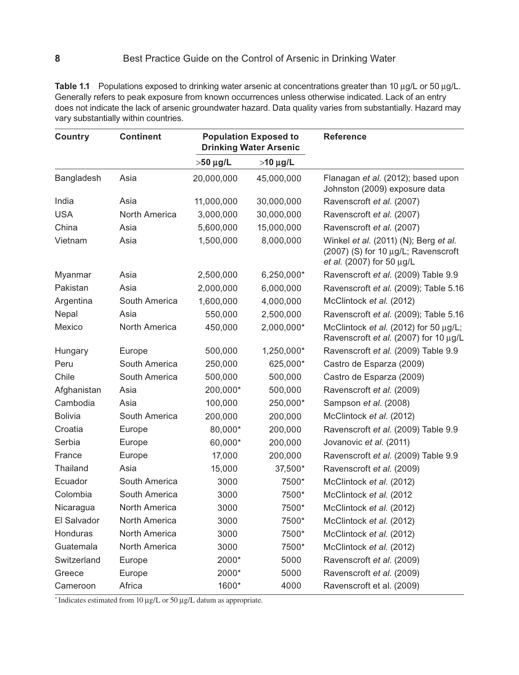Table 1.1 Populations exposed to drinking water arsenic at concentrations greater than 10 µg/L or 50 µg/L. Generally refers to peak exposure from known occurrences unless otherwise indicated. Lack of an entry does not indicate the lack of arsenic groundwater hazard. Data quality varies from substantially. Hazard may vary substantially within countries.

| <b>Country</b> | <b>Continent</b> | <b>Population Exposed to</b><br><b>Drinking Water Arsenic</b> |               | <b>Reference</b>                                                                                          |
|----------------|------------------|---------------------------------------------------------------|---------------|-----------------------------------------------------------------------------------------------------------|
|                |                  | $>50 \mu g/L$                                                 | $>10 \mu g/L$ |                                                                                                           |
| Bangladesh     | Asia             | 20,000,000                                                    | 45,000,000    | Flanagan et al. (2012); based upon<br>Johnston (2009) exposure data                                       |
| India          | Asia             | 11,000,000                                                    | 30,000,000    | Ravenscroft et al. (2007)                                                                                 |
| <b>USA</b>     | North America    | 3,000,000                                                     | 30,000,000    | Ravenscroft et al. (2007)                                                                                 |
| China          | Asia             | 5,600,000                                                     | 15,000,000    | Ravenscroft et al. (2007)                                                                                 |
| Vietnam        | Asia             | 1,500,000                                                     | 8,000,000     | Winkel et al. (2011) (N); Berg et al.<br>(2007) (S) for 10 µg/L; Ravenscroft<br>et al. (2007) for 50 µg/L |
| Myanmar        | Asia             | 2,500,000                                                     | 6,250,000*    | Ravenscroft et al. (2009) Table 9.9                                                                       |
| Pakistan       | Asia             | 2,000,000                                                     | 6,000,000     | Ravenscroft et al. (2009); Table 5.16                                                                     |
| Argentina      | South America    | 1,600,000                                                     | 4,000,000     | McClintock et al. (2012)                                                                                  |
| Nepal          | Asia             | 550,000                                                       | 2,500,000     | Ravenscroft et al. (2009); Table 5.16                                                                     |
| Mexico         | North America    | 450,000                                                       | 2,000,000*    | McClintock et al. (2012) for 50 µg/L;<br>Ravenscroft et al. (2007) for 10 µg/L                            |
| Hungary        | Europe           | 500,000                                                       | 1,250,000*    | Ravenscroft et al. (2009) Table 9.9                                                                       |
| Peru           | South America    | 250,000                                                       | 625,000*      | Castro de Esparza (2009)                                                                                  |
| Chile          | South America    | 500,000                                                       | 500,000       | Castro de Esparza (2009)                                                                                  |
| Afghanistan    | Asia             | 200,000*                                                      | 500,000       | Ravenscroft et al. (2009)                                                                                 |
| Cambodia       | Asia             | 100,000                                                       | 250,000*      | Sampson et al. (2008)                                                                                     |
| <b>Bolivia</b> | South America    | 200,000                                                       | 200,000       | McClintock et al. (2012)                                                                                  |
| Croatia        | Europe           | 80,000*                                                       | 200,000       | Ravenscroft et al. (2009) Table 9.9                                                                       |
| Serbia         | Europe           | 60,000*                                                       | 200,000       | Jovanovic et al. (2011)                                                                                   |
| France         | Europe           | 17,000                                                        | 200,000       | Ravenscroft et al. (2009) Table 9.9                                                                       |
| Thailand       | Asia             | 15,000                                                        | 37,500*       | Ravenscroft et al. (2009)                                                                                 |
| Ecuador        | South America    | 3000                                                          | 7500*         | McClintock et al. (2012)                                                                                  |
| Colombia       | South America    | 3000                                                          | 7500*         | McClintock et al. (2012                                                                                   |
| Nicaragua      | North America    | 3000                                                          | 7500*         | McClintock et al. (2012)                                                                                  |
| El Salvador    | North America    | 3000                                                          | 7500*         | McClintock et al. (2012)                                                                                  |
| Honduras       | North America    | 3000                                                          | 7500*         | McClintock et al. (2012)                                                                                  |
| Guatemala      | North America    | 3000                                                          | 7500*         | McClintock et al. (2012)                                                                                  |
| Switzerland    | Europe           | 2000*                                                         | 5000          | Ravenscroft et al. (2009)                                                                                 |
| Greece         | Europe           | 2000*                                                         | 5000          | Ravenscroft et al. (2009)                                                                                 |
| Cameroon       | Africa           | 1600*                                                         | 4000          | Ravenscroft et al. (2009)                                                                                 |

\* Indicates estimated from 10 µg/L or 50 µg/L datum as appropriate.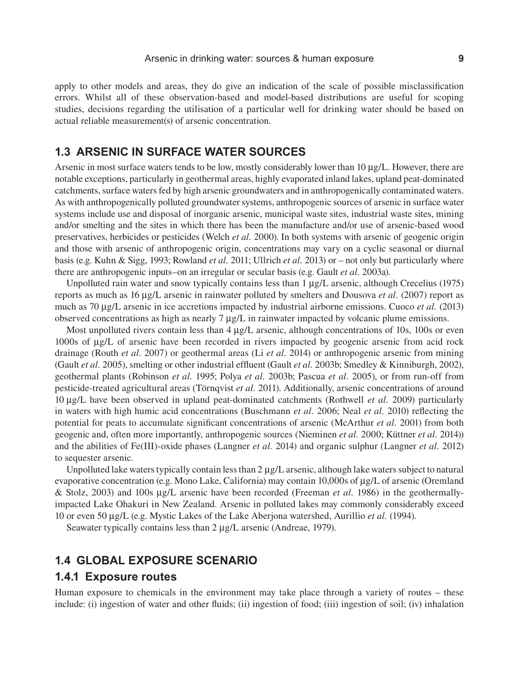apply to other models and areas, they do give an indication of the scale of possible misclassification errors. Whilst all of these observation-based and model-based distributions are useful for scoping studies, decisions regarding the utilisation of a particular well for drinking water should be based on actual reliable measurement(s) of arsenic concentration.

## **1.3 ARSENIC IN SURFACE WATER SOURCES**

Arsenic in most surface waters tends to be low, mostly considerably lower than 10 µg/L. However, there are notable exceptions, particularly in geothermal areas, highly evaporated inland lakes, upland peat-dominated catchments, surface waters fed by high arsenic groundwaters and in anthropogenically contaminated waters. As with anthropogenically polluted groundwater systems, anthropogenic sources of arsenic in surface water systems include use and disposal of inorganic arsenic, municipal waste sites, industrial waste sites, mining and/or smelting and the sites in which there has been the manufacture and/or use of arsenic-based wood preservatives, herbicides or pesticides (Welch *et al.* 2000). In both systems with arsenic of geogenic origin and those with arsenic of anthropogenic origin, concentrations may vary on a cyclic seasonal or diurnal basis (e.g. Kuhn & Sigg, 1993; Rowland *et al.* 2011; Ullrich *et al.* 2013) or – not only but particularly where there are anthropogenic inputs–on an irregular or secular basis (e.g. Gault *et al.* 2003a).

Unpolluted rain water and snow typically contains less than 1 µg/L arsenic, although Crecelius (1975) reports as much as 16 µg/L arsenic in rainwater polluted by smelters and Dousova *et al.* (2007) report as much as 70 µg/L arsenic in ice accretions impacted by industrial airborne emissions. Cuoco *et al.* (2013) observed concentrations as high as nearly 7 µg/L in rainwater impacted by volcanic plume emissions.

Most unpolluted rivers contain less than  $4 \mu g/L$  arsenic, although concentrations of 10s, 100s or even 1000s of µg/L of arsenic have been recorded in rivers impacted by geogenic arsenic from acid rock drainage (Routh *et al.* 2007) or geothermal areas (Li *et al.* 2014) or anthropogenic arsenic from mining (Gault *et al.* 2005), smelting or other industrial effluent (Gault *et al.* 2003b; Smedley & Kinniburgh, 2002), geothermal plants (Robinson *et al.* 1995; Polya *et al.* 2003b; Pascua *et al.* 2005), or from run-off from pesticide-treated agricultural areas (Törnqvist *et al.* 2011). Additionally, arsenic concentrations of around 10 µg/L have been observed in upland peat-dominated catchments (Rothwell *et al.* 2009) particularly in waters with high humic acid concentrations (Buschmann *et al.* 2006; Neal *et al.* 2010) reflecting the potential for peats to accumulate significant concentrations of arsenic (McArthur *et al.* 2001) from both geogenic and, often more importantly, anthropogenic sources (Nieminen *et al.* 2000; Küttner *et al.* 2014)) and the abilities of Fe(III)-oxide phases (Langner *et al.* 2014) and organic sulphur (Langner *et al.* 2012) to sequester arsenic.

Unpolluted lake waters typically contain less than 2  $\mu$ g/L arsenic, although lake waters subject to natural evaporative concentration (e.g. Mono Lake, California) may contain 10,000s of µg/L of arsenic (Oremland & Stolz, 2003) and 100s µg/L arsenic have been recorded (Freeman *et al.* 1986) in the geothermallyimpacted Lake Ohakuri in New Zealand. Arsenic in polluted lakes may commonly considerably exceed 10 or even 50 µg/L (e.g. Mystic Lakes of the Lake Aberjona watershed, Aurillio *et al.* (1994).

Seawater typically contains less than 2  $\mu$ g/L arsenic (Andreae, 1979).

## **1.4 GLOBAL EXPOSURE SCENARIO**

#### **1.4.1 Exposure routes**

Human exposure to chemicals in the environment may take place through a variety of routes – these include: (i) ingestion of water and other fluids; (ii) ingestion of food; (iii) ingestion of soil; (iv) inhalation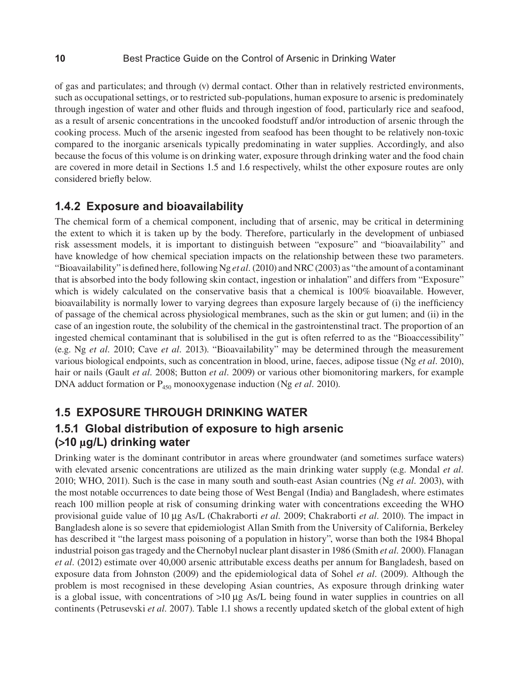of gas and particulates; and through (v) dermal contact. Other than in relatively restricted environments, such as occupational settings, or to restricted sub-populations, human exposure to arsenic is predominately through ingestion of water and other fluids and through ingestion of food, particularly rice and seafood, as a result of arsenic concentrations in the uncooked foodstuff and/or introduction of arsenic through the cooking process. Much of the arsenic ingested from seafood has been thought to be relatively non-toxic compared to the inorganic arsenicals typically predominating in water supplies. Accordingly, and also because the focus of this volume is on drinking water, exposure through drinking water and the food chain are covered in more detail in Sections 1.5 and 1.6 respectively, whilst the other exposure routes are only considered briefly below.

## **1.4.2 Exposure and bioavailability**

The chemical form of a chemical component, including that of arsenic, may be critical in determining the extent to which it is taken up by the body. Therefore, particularly in the development of unbiased risk assessment models, it is important to distinguish between "exposure" and "bioavailability" and have knowledge of how chemical speciation impacts on the relationship between these two parameters. "Bioavailability" is defined here, following Ng *et al.* (2010) and NRC (2003) as "the amount of a contaminant that is absorbed into the body following skin contact, ingestion or inhalation" and differs from "Exposure" which is widely calculated on the conservative basis that a chemical is 100% bioavailable. However, bioavailability is normally lower to varying degrees than exposure largely because of (i) the inefficiency of passage of the chemical across physiological membranes, such as the skin or gut lumen; and (ii) in the case of an ingestion route, the solubility of the chemical in the gastrointenstinal tract. The proportion of an ingested chemical contaminant that is solubilised in the gut is often referred to as the "Bioaccessibility" (e.g. Ng *et al.* 2010; Cave *et al.* 2013). "Bioavailability" may be determined through the measurement various biological endpoints, such as concentration in blood, urine, faeces, adipose tissue (Ng *et al.* 2010), hair or nails (Gault *et al.* 2008; Button *et al.* 2009) or various other biomonitoring markers, for example DNA adduct formation or P<sub>450</sub> monooxygenase induction (Ng *et al.* 2010).

# **1.5 EXPOSURE THROUGH DRINKING WATER**

# **1.5.1 Global distribution of exposure to high arsenic (>10 µg/L) drinking water**

Drinking water is the dominant contributor in areas where groundwater (and sometimes surface waters) with elevated arsenic concentrations are utilized as the main drinking water supply (e.g. Mondal *et al.*) 2010; WHO, 2011). Such is the case in many south and south-east Asian countries (Ng *et al.* 2003), with the most notable occurrences to date being those of West Bengal (India) and Bangladesh, where estimates reach 100 million people at risk of consuming drinking water with concentrations exceeding the WHO provisional guide value of 10 µg As/L (Chakraborti *et al.* 2009; Chakraborti *et al.* 2010). The impact in Bangladesh alone is so severe that epidemiologist Allan Smith from the University of California, Berkeley has described it "the largest mass poisoning of a population in history", worse than both the 1984 Bhopal industrial poison gas tragedy and the Chernobyl nuclear plant disaster in 1986 (Smith *et al.* 2000). Flanagan *et al.* (2012) estimate over 40,000 arsenic attributable excess deaths per annum for Bangladesh, based on exposure data from Johnston (2009) and the epidemiological data of Sohel *et al.* (2009). Although the problem is most recognised in these developing Asian countries, As exposure through drinking water is a global issue, with concentrations of  $>10 \mu g$  As/L being found in water supplies in countries on all continents (Petrusevski *et al.* 2007). Table 1.1 shows a recently updated sketch of the global extent of high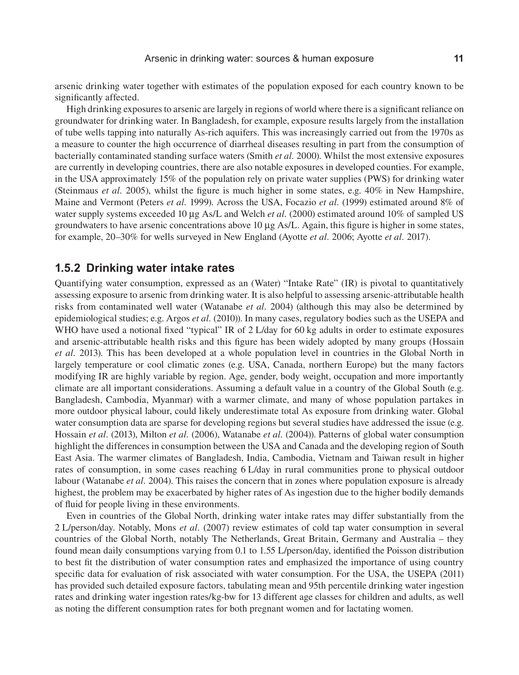arsenic drinking water together with estimates of the population exposed for each country known to be significantly affected.

High drinking exposures to arsenic are largely in regions of world where there is a significant reliance on groundwater for drinking water. In Bangladesh, for example, exposure results largely from the installation of tube wells tapping into naturally As-rich aquifers. This was increasingly carried out from the 1970s as a measure to counter the high occurrence of diarrheal diseases resulting in part from the consumption of bacterially contaminated standing surface waters (Smith *et al.* 2000). Whilst the most extensive exposures are currently in developing countries, there are also notable exposures in developed counties. For example, in the USA approximately 15% of the population rely on private water supplies (PWS) for drinking water (Steinmaus *et al.* 2005), whilst the figure is much higher in some states, e.g. 40% in New Hampshire, Maine and Vermont (Peters *et al.* 1999). Across the USA, Focazio *et al.* (1999) estimated around 8% of water supply systems exceeded 10 µg As/L and Welch *et al.* (2000) estimated around 10% of sampled US groundwaters to have arsenic concentrations above  $10 \mu g$  As/L. Again, this figure is higher in some states, for example, 20–30% for wells surveyed in New England (Ayotte *et al.* 2006; Ayotte *et al.* 2017).

### **1.5.2 Drinking water intake rates**

Quantifying water consumption, expressed as an (Water) "Intake Rate" (IR) is pivotal to quantitatively assessing exposure to arsenic from drinking water. It is also helpful to assessing arsenic-attributable health risks from contaminated well water (Watanabe *et al.* 2004) (although this may also be determined by epidemiological studies; e.g. Argos *et al.* (2010)). In many cases, regulatory bodies such as the USEPA and WHO have used a notional fixed "typical" IR of 2 L/day for 60 kg adults in order to estimate exposures and arsenic-attributable health risks and this figure has been widely adopted by many groups (Hossain *et al.* 2013). This has been developed at a whole population level in countries in the Global North in largely temperature or cool climatic zones (e.g. USA, Canada, northern Europe) but the many factors modifying IR are highly variable by region. Age, gender, body weight, occupation and more importantly climate are all important considerations. Assuming a default value in a country of the Global South (e.g. Bangladesh, Cambodia, Myanmar) with a warmer climate, and many of whose population partakes in more outdoor physical labour, could likely underestimate total As exposure from drinking water. Global water consumption data are sparse for developing regions but several studies have addressed the issue (e.g. Hossain *et al.* (2013), Milton *et al.* (2006), Watanabe *et al.* (2004)). Patterns of global water consumption highlight the differences in consumption between the USA and Canada and the developing region of South East Asia. The warmer climates of Bangladesh, India, Cambodia, Vietnam and Taiwan result in higher rates of consumption, in some cases reaching 6 L/day in rural communities prone to physical outdoor labour (Watanabe *et al.* 2004). This raises the concern that in zones where population exposure is already highest, the problem may be exacerbated by higher rates of As ingestion due to the higher bodily demands of fluid for people living in these environments.

Even in countries of the Global North, drinking water intake rates may differ substantially from the 2 L/person/day. Notably, Mons *et al.* (2007) review estimates of cold tap water consumption in several countries of the Global North, notably The Netherlands, Great Britain, Germany and Australia – they found mean daily consumptions varying from 0.1 to 1.55 L/person/day, identified the Poisson distribution to best fit the distribution of water consumption rates and emphasized the importance of using country specific data for evaluation of risk associated with water consumption. For the USA, the USEPA (2011) has provided such detailed exposure factors, tabulating mean and 95th percentile drinking water ingestion rates and drinking water ingestion rates/kg-bw for 13 different age classes for children and adults, as well as noting the different consumption rates for both pregnant women and for lactating women.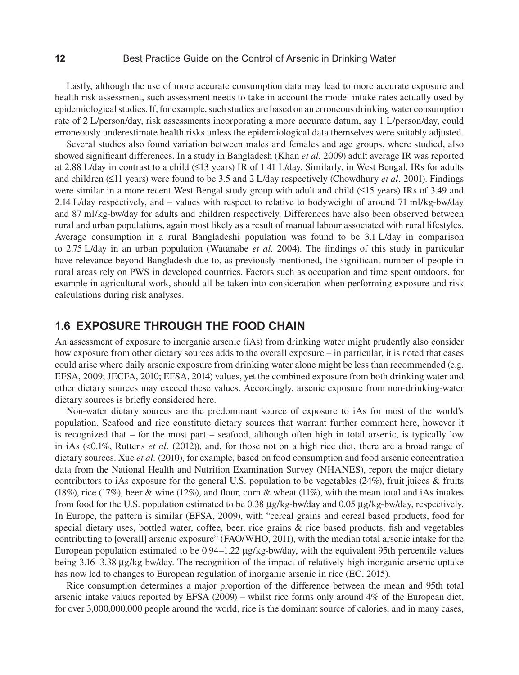#### **12** Best Practice Guide on the Control of Arsenic in Drinking Water

Lastly, although the use of more accurate consumption data may lead to more accurate exposure and health risk assessment, such assessment needs to take in account the model intake rates actually used by epidemiological studies. If, for example, such studies are based on an erroneous drinking water consumption rate of 2 L/person/day, risk assessments incorporating a more accurate datum, say 1 L/person/day, could erroneously underestimate health risks unless the epidemiological data themselves were suitably adjusted.

Several studies also found variation between males and females and age groups, where studied, also showed significant differences. In a study in Bangladesh (Khan *et al.* 2009) adult average IR was reported at 2.88 L/day in contrast to a child (≤13 years) IR of 1.41 L/day. Similarly, in West Bengal, IRs for adults and children (≤11 years) were found to be 3.5 and 2 L/day respectively (Chowdhury *et al.* 2001). Findings were similar in a more recent West Bengal study group with adult and child (≤15 years) IRs of 3.49 and 2.14 L/day respectively, and – values with respect to relative to bodyweight of around 71 ml/kg-bw/day and 87 ml/kg-bw/day for adults and children respectively. Differences have also been observed between rural and urban populations, again most likely as a result of manual labour associated with rural lifestyles. Average consumption in a rural Bangladeshi population was found to be 3.1 L/day in comparison to 2.75 L/day in an urban population (Watanabe *et al.* 2004). The findings of this study in particular have relevance beyond Bangladesh due to, as previously mentioned, the significant number of people in rural areas rely on PWS in developed countries. Factors such as occupation and time spent outdoors, for example in agricultural work, should all be taken into consideration when performing exposure and risk calculations during risk analyses.

## **1.6 EXPOSURE THROUGH THE FOOD CHAIN**

An assessment of exposure to inorganic arsenic (iAs) from drinking water might prudently also consider how exposure from other dietary sources adds to the overall exposure – in particular, it is noted that cases could arise where daily arsenic exposure from drinking water alone might be less than recommended (e.g. EFSA, 2009; JECFA, 2010; EFSA, 2014) values, yet the combined exposure from both drinking water and other dietary sources may exceed these values. Accordingly, arsenic exposure from non-drinking-water dietary sources is briefly considered here.

Non-water dietary sources are the predominant source of exposure to iAs for most of the world's population. Seafood and rice constitute dietary sources that warrant further comment here, however it is recognized that – for the most part – seafood, although often high in total arsenic, is typically low in iAs (<0.1%, Ruttens *et al.* (2012)), and, for those not on a high rice diet, there are a broad range of dietary sources. Xue *et al.* (2010), for example, based on food consumption and food arsenic concentration data from the National Health and Nutrition Examination Survey (NHANES), report the major dietary contributors to iAs exposure for the general U.S. population to be vegetables (24%), fruit juices & fruits (18%), rice (17%), beer & wine (12%), and flour, corn & wheat (11%), with the mean total and iAs intakes from food for the U.S. population estimated to be 0.38 µg/kg-bw/day and 0.05 µg/kg-bw/day, respectively. In Europe, the pattern is similar (EFSA, 2009), with "cereal grains and cereal based products, food for special dietary uses, bottled water, coffee, beer, rice grains  $\&$  rice based products, fish and vegetables contributing to [overall] arsenic exposure" (FAO/WHO, 2011), with the median total arsenic intake for the European population estimated to be 0.94–1.22 µg/kg-bw/day, with the equivalent 95th percentile values being 3.16–3.38 µg/kg-bw/day. The recognition of the impact of relatively high inorganic arsenic uptake has now led to changes to European regulation of inorganic arsenic in rice (EC, 2015).

Rice consumption determines a major proportion of the difference between the mean and 95th total arsenic intake values reported by EFSA (2009) – whilst rice forms only around 4% of the European diet, for over 3,000,000,000 people around the world, rice is the dominant source of calories, and in many cases,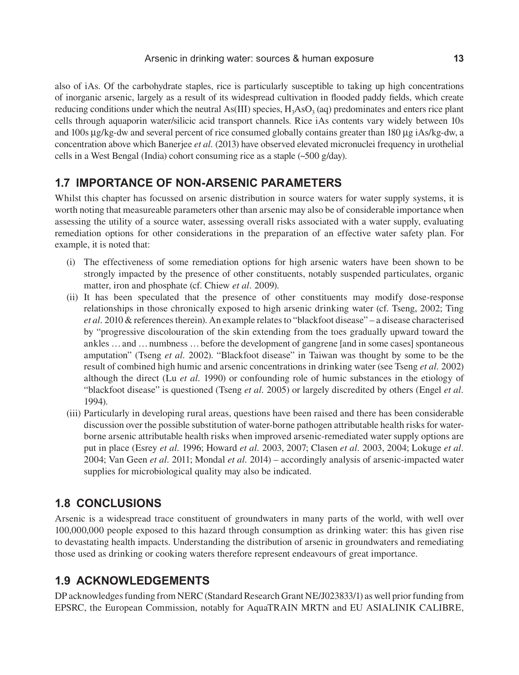also of iAs. Of the carbohydrate staples, rice is particularly susceptible to taking up high concentrations of inorganic arsenic, largely as a result of its widespread cultivation in flooded paddy fields, which create reducing conditions under which the neutral As(III) species,  $H_3ASO_3$  (aq) predominates and enters rice plant cells through aquaporin water/silicic acid transport channels. Rice iAs contents vary widely between 10s and 100s μg/kg-dw and several percent of rice consumed globally contains greater than 180 µg iAs/kg-dw, a concentration above which Banerjee *et al.* (2013) have observed elevated micronuclei frequency in urothelial cells in a West Bengal (India) cohort consuming rice as a staple (~500 g/day).

# **1.7 IMPORTANCE OF NON-ARSENIC PARAMETERS**

Whilst this chapter has focussed on arsenic distribution in source waters for water supply systems, it is worth noting that measureable parameters other than arsenic may also be of considerable importance when assessing the utility of a source water, assessing overall risks associated with a water supply, evaluating remediation options for other considerations in the preparation of an effective water safety plan. For example, it is noted that:

- (i) The effectiveness of some remediation options for high arsenic waters have been shown to be strongly impacted by the presence of other constituents, notably suspended particulates, organic matter, iron and phosphate (cf. Chiew *et al.* 2009).
- (ii) It has been speculated that the presence of other constituents may modify dose-response relationships in those chronically exposed to high arsenic drinking water (cf. Tseng, 2002; Ting *et al.* 2010 & references therein). An example relates to "blackfoot disease" – a disease characterised by "progressive discolouration of the skin extending from the toes gradually upward toward the ankles …and …numbness …before the development of gangrene [and in some cases] spontaneous amputation" (Tseng *et al.* 2002). "Blackfoot disease" in Taiwan was thought by some to be the result of combined high humic and arsenic concentrations in drinking water (see Tseng *et al.* 2002) although the direct (Lu *et al.* 1990) or confounding role of humic substances in the etiology of "blackfoot disease" is questioned (Tseng *et al.* 2005) or largely discredited by others (Engel *et al.* 1994).
- (iii) Particularly in developing rural areas, questions have been raised and there has been considerable discussion over the possible substitution of water-borne pathogen attributable health risks for waterborne arsenic attributable health risks when improved arsenic-remediated water supply options are put in place (Esrey *et al.* 1996; Howard *et al.* 2003, 2007; Clasen *et al.* 2003, 2004; Lokuge *et al.* 2004; Van Geen *et al.* 2011; Mondal *et al.* 2014) – accordingly analysis of arsenic-impacted water supplies for microbiological quality may also be indicated.

# **1.8 CONCLUSIONS**

Arsenic is a widespread trace constituent of groundwaters in many parts of the world, with well over 100,000,000 people exposed to this hazard through consumption as drinking water: this has given rise to devastating health impacts. Understanding the distribution of arsenic in groundwaters and remediating those used as drinking or cooking waters therefore represent endeavours of great importance.

# **1.9 ACKNOWLEDGEMENTS**

DP acknowledges funding from NERC (Standard Research Grant NE/J023833/1) as well prior funding from EPSRC, the European Commission, notably for AquaTRAIN MRTN and EU ASIALINIK CALIBRE,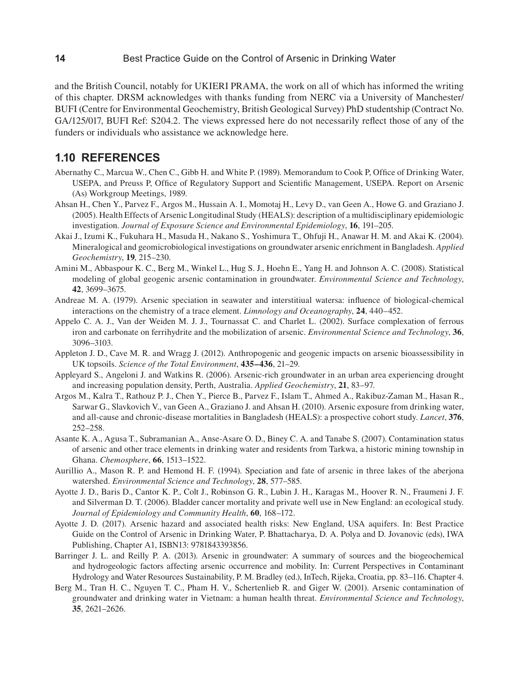and the British Council, notably for UKIERI PRAMA, the work on all of which has informed the writing of this chapter. DRSM acknowledges with thanks funding from NERC via a University of Manchester/ BUFI (Centre for Environmental Geochemistry, British Geological Survey) PhD studentship (Contract No. GA/125/017, BUFI Ref: S204.2. The views expressed here do not necessarily reflect those of any of the funders or individuals who assistance we acknowledge here.

## **1.10 REFERENCES**

- Abernathy C., Marcua W., Chen C., Gibb H. and White P. (1989). Memorandum to Cook P, Office of Drinking Water, USEPA, and Preuss P, Office of Regulatory Support and Scientific Management, USEPA. Report on Arsenic (As) Workgroup Meetings, 1989.
- Ahsan H., Chen Y., Parvez F., Argos M., Hussain A. I., Momotaj H., Levy D., van Geen A., Howe G. and Graziano J. (2005). Health Effects of Arsenic Longitudinal Study (HEALS): description of a multidisciplinary epidemiologic investigation. *Journal of Exposure Science and Environmental Epidemiology*, **16**, 191–205.
- Akai J., Izumi K., Fukuhara H., Masuda H., Nakano S., Yoshimura T., Ohfuji H., Anawar H. M. and Akai K. (2004). Mineralogical and geomicrobiological investigations on groundwater arsenic enrichment in Bangladesh. *Applied Geochemistry*, **19**, 215–230.
- Amini M., Abbaspour K. C., Berg M., Winkel L., Hug S. J., Hoehn E., Yang H. and Johnson A. C. (2008). Statistical modeling of global geogenic arsenic contamination in groundwater. *Environmental Science and Technology*, **42**, 3699–3675.
- Andreae M. A. (1979). Arsenic speciation in seawater and interstitiual watersa: influence of biological-chemical interactions on the chemistry of a trace element. *Limnology and Oceanography*, **24**, 440–452.
- Appelo C. A. J., Van der Weiden M. J. J., Tournassat C. and Charlet L. (2002). Surface complexation of ferrous iron and carbonate on ferrihydrite and the mobilization of arsenic. *Environmental Science and Technology*, **36**, 3096–3103.
- Appleton J. D., Cave M. R. and Wragg J. (2012). Anthropogenic and geogenic impacts on arsenic bioassessibility in UK topsoils. *Science of the Total Environment*, **435–436**, 21–29.
- Appleyard S., Angeloni J. and Watkins R. (2006). Arsenic-rich groundwater in an urban area experiencing drought and increasing population density, Perth, Australia. *Applied Geochemistry*, **21**, 83–97.
- Argos M., Kalra T., Rathouz P. J., Chen Y., Pierce B., Parvez F., Islam T., Ahmed A., Rakibuz-Zaman M., Hasan R., Sarwar G., Slavkovich V., van Geen A., Graziano J. and Ahsan H. (2010). Arsenic exposure from drinking water, and all-cause and chronic-disease mortalities in Bangladesh (HEALS): a prospective cohort study. *Lancet*, **376**, 252–258.
- Asante K. A., Agusa T., Subramanian A., Anse-Asare O. D., Biney C. A. and Tanabe S. (2007). Contamination status of arsenic and other trace elements in drinking water and residents from Tarkwa, a historic mining township in Ghana. *Chemosphere*, **66**, 1513–1522.
- Aurillio A., Mason R. P. and Hemond H. F. (1994). Speciation and fate of arsenic in three lakes of the aberjona watershed. *Environmental Science and Technology*, **28**, 577–585.
- Ayotte J. D., Baris D., Cantor K. P., Colt J., Robinson G. R., Lubin J. H., Karagas M., Hoover R. N., Fraumeni J. F. and Silverman D. T. (2006). Bladder cancer mortality and private well use in New England: an ecological study. *Journal of Epidemiology and Community Health*, **60**, 168–172.
- Ayotte J. D. (2017). Arsenic hazard and associated health risks: New England, USA aquifers. In: Best Practice Guide on the Control of Arsenic in Drinking Water, P. Bhattacharya, D. A. Polya and D. Jovanovic (eds), IWA Publishing, Chapter A1, ISBN13: 9781843393856.
- Barringer J. L. and Reilly P. A. (2013). Arsenic in groundwater: A summary of sources and the biogeochemical and hydrogeologic factors affecting arsenic occurrence and mobility. In: Current Perspectives in Contaminant Hydrology and Water Resources Sustainability, P. M. Bradley (ed.), InTech, Rijeka, Croatia, pp. 83–116. Chapter 4.
- Berg M., Tran H. C., Nguyen T. C., Pham H. V., Schertenlieb R. and Giger W. (2001). Arsenic contamination of groundwater and drinking water in Vietnam: a human health threat. *Environmental Science and Technology*, **35**, 2621–2626.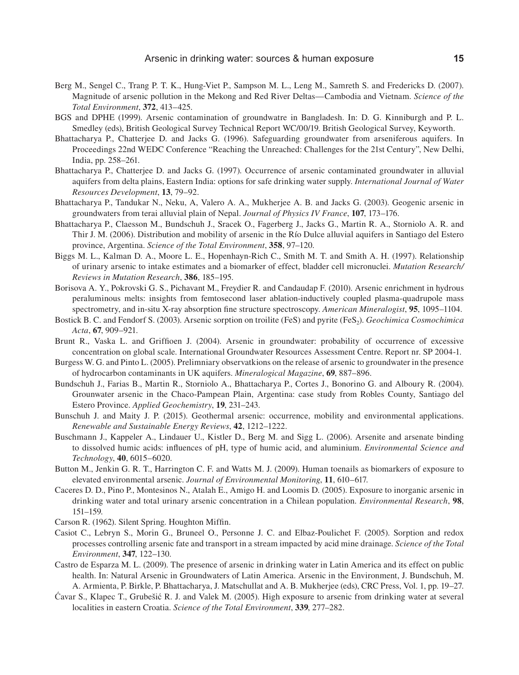- Berg M., Sengel C., Trang P. T. K., Hung-Viet P., Sampson M. L., Leng M., Samreth S. and Fredericks D. (2007). Magnitude of arsenic pollution in the Mekong and Red River Deltas—Cambodia and Vietnam. *Science of the Total Environment*, **372**, 413–425.
- BGS and DPHE (1999). Arsenic contamination of groundwatre in Bangladesh. In: D. G. Kinniburgh and P. L. Smedley (eds), British Geological Survey Technical Report WC/00/19. British Geological Survey, Keyworth.
- Bhattacharya P., Chatterjee D. and Jacks G. (1996). Safeguarding groundwater from arseniferous aquifers. In Proceedings 22nd WEDC Conference "Reaching the Unreached: Challenges for the 21st Century", New Delhi, India, pp. 258–261.
- Bhattacharya P., Chatterjee D. and Jacks G. (1997). Occurrence of arsenic contaminated groundwater in alluvial aquifers from delta plains, Eastern India: options for safe drinking water supply. *International Journal of Water Resources Development*, **13**, 79–92.
- Bhattacharya P., Tandukar N., Neku, A, Valero A. A., Mukherjee A. B. and Jacks G. (2003). Geogenic arsenic in groundwaters from terai alluvial plain of Nepal. *Journal of Physics IV France*, **107**, 173–176.
- Bhattacharya P., Claesson M., Bundschuh J., Sracek O., Fagerberg J., Jacks G., Martin R. A., Storniolo A. R. and Thir J. M. (2006). Distribution and mobility of arsenic in the Río Dulce alluvial aquifers in Santiago del Estero province, Argentina. *Science of the Total Environment*, **358**, 97–120.
- Biggs M. L., Kalman D. A., Moore L. E., Hopenhayn-Rich C., Smith M. T. and Smith A. H. (1997). Relationship of urinary arsenic to intake estimates and a biomarker of effect, bladder cell micronuclei. *Mutation Research/ Reviews in Mutation Research*, **386**, 185–195.
- Borisova A. Y., Pokrovski G. S., Pichavant M., Freydier R. and Candaudap F. (2010). Arsenic enrichment in hydrous peraluminous melts: insights from femtosecond laser ablation-inductively coupled plasma-quadrupole mass spectrometry, and in-situ X-ray absorption fine structure spectroscopy. *American Mineralogist*, **95**, 1095–1104.
- Bostick B. C. and Fendorf S. (2003). Arsenic sorption on troilite (FeS) and pyrite (FeS<sub>2</sub>). *Geochimica Cosmochimica Acta*, **67**, 909–921.
- Brunt R., Vaska L. and Griffioen J. (2004). Arsenic in groundwater: probability of occurrence of excessive concentration on global scale. International Groundwater Resources Assessment Centre. Report nr. SP 2004-1.
- Burgess W. G. and Pinto L. (2005). Prelimniary observatkions on the release of arsenic to groundwater in the presence of hydrocarbon contaminants in UK aquifers. *Mineralogical Magazine*, **69**, 887–896.
- Bundschuh J., Farias B., Martin R., Storniolo A., Bhattacharya P., Cortes J., Bonorino G. and Alboury R. (2004). Grounwater arsenic in the Chaco-Pampean Plain, Argentina: case study from Robles County, Santiago del Estero Province. *Applied Geochemistry*, **19**, 231–243.
- Bunschuh J. and Maity J. P. (2015). Geothermal arsenic: occurrence, mobility and environmental applications. *Renewable and Sustainable Energy Reviews*, **42**, 1212–1222.
- Buschmann J., Kappeler A., Lindauer U., Kistler D., Berg M. and Sigg L. (2006). Arsenite and arsenate binding to dissolved humic acids: influences of pH, type of humic acid, and aluminium. *Environmental Science and Technology*, **40**, 6015–6020.
- Button M., Jenkin G. R. T., Harrington C. F. and Watts M. J. (2009). Human toenails as biomarkers of exposure to elevated environmental arsenic. *Journal of Environmental Monitoring*, **11**, 610–617.
- Caceres D. D., Pino P., Montesinos N., Atalah E., Amigo H. and Loomis D. (2005). Exposure to inorganic arsenic in drinking water and total urinary arsenic concentration in a Chilean population. *Environmental Research*, **98**, 151–159.
- Carson R. (1962). Silent Spring. Houghton Miffin.
- Casiot C., Lebryn S., Morin G., Bruneel O., Personne J. C. and Elbaz-Poulichet F. (2005). Sorption and redox processes controlling arsenic fate and transport in a stream impacted by acid mine drainage. *Science of the Total Environment*, **347**, 122–130.
- Castro de Esparza M. L. (2009). The presence of arsenic in drinking water in Latin America and its effect on public health. In: Natural Arsenic in Groundwaters of Latin America. Arsenic in the Environment, J. Bundschuh, M. A. Armienta, P. Birkle, P. Bhattacharya, J. Matschullat and A. B. Mukherjee (eds), CRC Press, Vol. 1, pp. 19–27.
- Ćavar S., Klapec T., Grubešić R. J. and Valek M. (2005). High exposure to arsenic from drinking water at several localities in eastern Croatia. *Science of the Total Environment*, **339**, 277–282.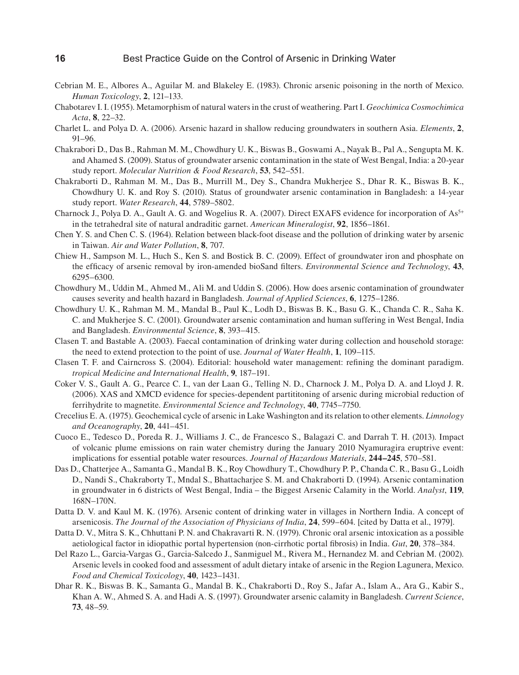- Cebrian M. E., Albores A., Aguilar M. and Blakeley E. (1983). Chronic arsenic poisoning in the north of Mexico. *Human Toxicology*, **2**, 121–133.
- Chabotarev I. I. (1955). Metamorphism of natural waters in the crust of weathering. Part I. *Geochimica Cosmochimica Acta*, **8**, 22–32.
- Charlet L. and Polya D. A. (2006). Arsenic hazard in shallow reducing groundwaters in southern Asia. *Elements*, **2**, 91–96.
- Chakrabori D., Das B., Rahman M. M., Chowdhury U. K., Biswas B., Goswami A., Nayak B., Pal A., Sengupta M. K. and Ahamed S. (2009). Status of groundwater arsenic contamination in the state of West Bengal, India: a 20-year study report. *Molecular Nutrition & Food Research*, **53**, 542–551.
- Chakraborti D., Rahman M. M., Das B., Murrill M., Dey S., Chandra Mukherjee S., Dhar R. K., Biswas B. K., Chowdhury U. K. and Roy S. (2010). Status of groundwater arsenic contamination in Bangladesh: a 14-year study report. *Water Research*, **44**, 5789–5802.
- Charnock J., Polya D. A., Gault A. G. and Wogelius R. A. (2007). Direct EXAFS evidence for incorporation of As<sup>5+</sup> in the tetrahedral site of natural andraditic garnet. *American Mineralogist*, **92**, 1856–1861.
- Chen Y. S. and Chen C. S. (1964). Relation between black-foot disease and the pollution of drinking water by arsenic in Taiwan. *Air and Water Pollution*, **8**, 707.
- Chiew H., Sampson M. L., Huch S., Ken S. and Bostick B. C. (2009). Effect of groundwater iron and phosphate on the efficacy of arsenic removal by iron-amended bioSand filters. *Environmental Science and Technology*, **43**, 6295–6300.
- Chowdhury M., Uddin M., Ahmed M., Ali M. and Uddin S. (2006). How does arsenic contamination of groundwater causes severity and health hazard in Bangladesh. *Journal of Applied Sciences*, **6**, 1275–1286.
- Chowdhury U. K., Rahman M. M., Mandal B., Paul K., Lodh D., Biswas B. K., Basu G. K., Chanda C. R., Saha K. C. and Mukherjee S. C. (2001). Groundwater arsenic contamination and human suffering in West Bengal, India and Bangladesh. *Environmental Science*, **8**, 393–415.
- Clasen T. and Bastable A. (2003). Faecal contamination of drinking water during collection and household storage: the need to extend protection to the point of use. *Journal of Water Health*, **1**, 109–115.
- Clasen T. F. and Cairncross S. (2004). Editorial: household water management: refining the dominant paradigm. *tropical Medicine and International Health*, **9**, 187–191.
- Coker V. S., Gault A. G., Pearce C. I., van der Laan G., Telling N. D., Charnock J. M., Polya D. A. and Lloyd J. R. (2006). XAS and XMCD evidence for species-dependent partititoning of arsenic during microbial reduction of ferrihydrite to magnetite. *Environmental Science and Technology*, **40**, 7745–7750.
- Crecelius E. A. (1975). Geochemical cycle of arsenic in Lake Washington and its relation to other elements. *Limnology and Oceanography*, **20**, 441–451.
- Cuoco E., Tedesco D., Poreda R. J., Williams J. C., de Francesco S., Balagazi C. and Darrah T. H. (2013). Impact of volcanic plume emissions on rain water chemistry during the January 2010 Nyamuragira eruptrive event: implications for essential potable water resources. *Journal of Hazardous Materials*, **244–245**, 570–581.
- Das D., Chatterjee A., Samanta G., Mandal B. K., Roy Chowdhury T., Chowdhury P. P., Chanda C. R., Basu G., Loidh D., Nandi S., Chakraborty T., Mndal S., Bhattacharjee S. M. and Chakraborti D. (1994). Arsenic contamination in groundwater in 6 districts of West Bengal, India – the Biggest Arsenic Calamity in the World. *Analyst*, **119**, 168N–170N.
- Datta D. V. and Kaul M. K. (1976). Arsenic content of drinking water in villages in Northern India. A concept of arsenicosis. *The Journal of the Association of Physicians of India*, **24**, 599–604. [cited by Datta et al., 1979].
- Datta D. V., Mitra S. K., Chhuttani P. N. and Chakravarti R. N. (1979). Chronic oral arsenic intoxication as a possible aetiological factor in idiopathic portal hypertension (non-cirrhotic portal fibrosis) in India. *Gut*, **20**, 378–384.
- Del Razo L., Garcia-Vargas G., Garcia-Salcedo J., Sanmiguel M., Rivera M., Hernandez M. and Cebrian M. (2002). Arsenic levels in cooked food and assessment of adult dietary intake of arsenic in the Region Lagunera, Mexico. *Food and Chemical Toxicology*, **40**, 1423–1431.
- Dhar R. K., Biswas B. K., Samanta G., Mandal B. K., Chakraborti D., Roy S., Jafar A., Islam A., Ara G., Kabir S., Khan A. W., Ahmed S. A. and Hadi A. S. (1997). Groundwater arsenic calamity in Bangladesh. *Current Science*, **73**, 48–59.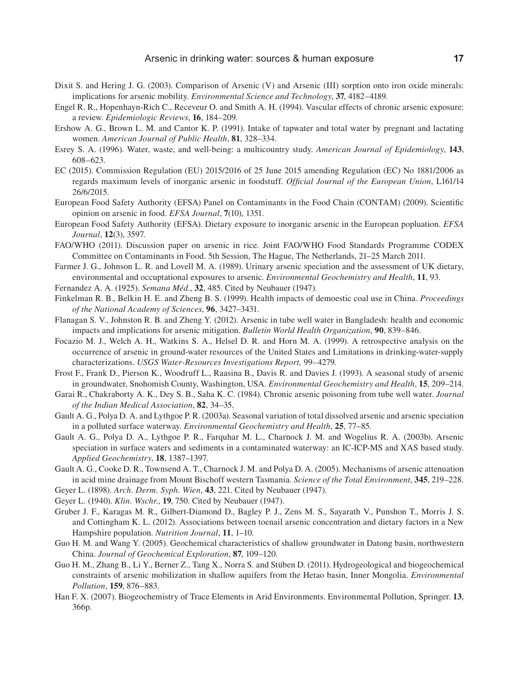- Dixit S. and Hering J. G. (2003). Comparison of Arsenic (V) and Arsenic (III) sorption onto iron oxide minerals: implications for arsenic mobility. *Environmental Science and Technology*, **37**, 4182–4189.
- Engel R. R., Hopenhayn-Rich C., Receveur O. and Smith A. H. (1994). Vascular effects of chronic arsenic exposure: a review. *Epidemiologic Reviews*, **16**, 184–209.
- Ershow A. G., Brown L. M. and Cantor K. P. (1991). Intake of tapwater and total water by pregnant and lactating women. *American Journal of Public Health*, **81**, 328–334.
- Esrey S. A. (1996). Water, waste, and well-being: a multicountry study. *American Journal of Epidemiology*, **143**, 608–623.
- EC (2015). Commission Regulation (EU) 2015/2016 of 25 June 2015 amending Regulation (EC) No 1881/2006 as regards maximum levels of inorganic arsenic in foodstuff. *Official Journal of the European Union*, L161/14 26/6/2015.
- European Food Safety Authority (EFSA) Panel on Contaminants in the Food Chain (CONTAM) (2009). Scientific opinion on arsenic in food. *EFSA Journal*, **7**(10), 1351.
- European Food Safety Authority (EFSA). Dietary exposure to inorganic arsenic in the European popluation. *EFSA Journal*, **12**(3), 3597.
- FAO/WHO (2011). Discussion paper on arsenic in rice. Joint FAO/WHO Food Standards Programme CODEX Committee on Contaminants in Food. 5th Session, The Hague, The Netherlands, 21–25 March 2011.
- Farmer J. G., Johnson L. R. and Lovell M. A. (1989). Urinary arsenic speciation and the assessment of UK dietary, environmental and occuptational exposures to arsenic. *Environmental Geochemistry and Health*, **11**, 93.
- Fernandez A. A. (1925). *Semana Méd.*, **32**, 485. Cited by Neubauer (1947).
- Finkelman R. B., Belkin H. E. and Zheng B. S. (1999). Health impacts of demoestic coal use in China. *Proceedings of the National Academy of Sciences*, **96**, 3427–3431.
- Flanagan S. V., Johnston R. B. and Zheng Y. (2012). Arsenic in tube well water in Bangladesh: health and economic impacts and implications for arsenic mitigation. *Bulletin World Health Organization*, **90**, 839–846.
- Focazio M. J., Welch A. H., Watkins S. A., Helsel D. R. and Horn M. A. (1999). A retrospective analysis on the occurrence of arsenic in ground-water resources of the United States and Limitations in drinking-water-supply characterizations. *USGS Water-Resources Investigations Report,* 99–4279.
- Frost F., Frank D., Pierson K., Woodruff L., Raasina B., Davis R. and Davies J. (1993). A seasonal study of arsenic in groundwater, Snohomish County, Washington, USA. *Environmental Geochemistry and Health*, **15**, 209–214.
- Garai R., Chakraborty A. K., Dey S. B., Saha K. C. (1984). Chronic arsenic poisoning from tube well water. *Journal of the Indian Medical Association*, **82**, 34–35.
- Gault A. G., Polya D. A. and Lythgoe P. R. (2003a). Seasonal variation of total dissolved arsenic and arsenic speciation in a polluted surface waterway. *Environmental Geochemistry and Health*, **25**, 77–85.
- Gault A. G., Polya D. A., Lythgoe P. R., Farquhar M. L., Charnock J. M. and Wogelius R. A. (2003b). Arsenic speciation in surface waters and sediments in a contaminated waterway: an IC-ICP-MS and XAS based study. *Applied Geochemistry*, **18**, 1387–1397.
- Gault A. G., Cooke D. R., Townsend A. T., Charnock J. M. and Polya D. A. (2005). Mechanisms of arsenic attenuation in acid mine drainage from Mount Bischoff western Tasmania. *Science of the Total Environment*, **345**, 219–228.
- Geyer L. (1898). *Arch. Derm. Syph. Wien*, **43**, 221. Cited by Neubauer (1947).
- Geyer L. (1940). *Klin. Wschr*., **19**, 750. Cited by Neubauer (1947).
- Gruber J. F., Karagas M. R., Gilbert-Diamond D., Bagley P. J., Zens M. S., Sayarath V., Punshon T., Morris J. S. and Cottingham K. L. (2012). Associations between toenail arsenic concentration and dietary factors in a New Hampshire population. *Nutrition Journal*, **11**, 1–10.
- Guo H. M. and Wang Y. (2005). Geochemical characteristics of shallow groundwater in Datong basin, northwestern China. *Journal of Geochemical Exploration*, **87**, 109–120.
- Guo H. M., Zhang B., Li Y., Berner Z., Tang X., Norra S. and Stüben D. (2011). Hydrogeological and biogeochemical constraints of arsenic mobilization in shallow aquifers from the Hetao basin, Inner Mongolia. *Environmental Pollution*, **159**, 876–883.
- Han F. X. (2007). Biogeochemistry of Trace Elements in Arid Environments. Environmental Pollution, Springer. **13**, 366p.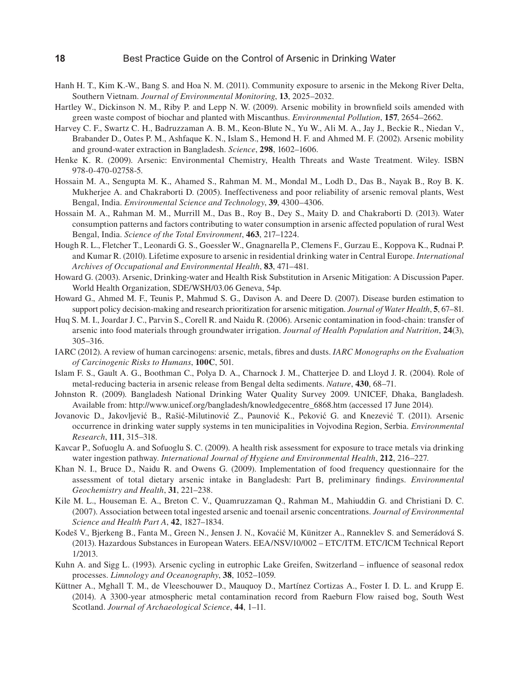- Hanh H. T., Kim K.-W., Bang S. and Hoa N. M. (2011). Community exposure to arsenic in the Mekong River Delta, Southern Vietnam. *Journal of Environmental Monitoring*, **13**, 2025–2032.
- Hartley W., Dickinson N. M., Riby P. and Lepp N. W. (2009). Arsenic mobility in brownfield soils amended with green waste compost of biochar and planted with Miscanthus. *Environmental Pollution*, **157**, 2654–2662.
- Harvey C. F., Swartz C. H., Badruzzaman A. B. M., Keon-Blute N., Yu W., Ali M. A., Jay J., Beckie R., Niedan V., Brabander D., Oates P. M., Ashfaque K. N., Islam S., Hemond H. F. and Ahmed M. F. (2002). Arsenic mobility and ground-water extraction in Bangladesh. *Science*, **298**, 1602–1606.
- Henke K. R. (2009). Arsenic: Environmental Chemistry, Health Threats and Waste Treatment. Wiley. ISBN 978-0-470-02758-5.
- Hossain M. A., Sengupta M. K., Ahamed S., Rahman M. M., Mondal M., Lodh D., Das B., Nayak B., Roy B. K. Mukherjee A. and Chakraborti D. (2005). Ineffectiveness and poor reliability of arsenic removal plants, West Bengal, India. *Environmental Science and Technology*, **39**, 4300–4306.
- Hossain M. A., Rahman M. M., Murrill M., Das B., Roy B., Dey S., Maity D. and Chakraborti D. (2013). Water consumption patterns and factors contributing to water consumption in arsenic affected population of rural West Bengal, India. *Science of the Total Environment*, **463**, 217–1224.
- Hough R. L., Fletcher T., Leonardi G. S., Goessler W., Gnagnarella P., Clemens F., Gurzau E., Koppova K., Rudnai P. and Kumar R. (2010). Lifetime exposure to arsenic in residential drinking water in Central Europe. *International Archives of Occupational and Environmental Health*, **83**, 471–481.
- Howard G. (2003). Arsenic, Drinking-water and Health Risk Substitution in Arsenic Mitigation: A Discussion Paper. World Health Organization, SDE/WSH/03.06 Geneva, 54p.
- Howard G., Ahmed M. F., Teunis P., Mahmud S. G., Davison A. and Deere D. (2007). Disease burden estimation to support policy decision-making and research prioritization for arsenic mitigation. *Journal of Water Health*, **5**, 67–81.
- Huq S. M. I., Joardar J. C., Parvin S., Corell R. and Naidu R. (2006). Arsenic contamination in food-chain: transfer of arsenic into food materials through groundwater irrigation. *Journal of Health Population and Nutrition*, **24**(3), 305–316.
- IARC (2012). A review of human carcinogens: arsenic, metals, fibres and dusts. *IARC Monographs on the Evaluation of Carcinogenic Risks to Humans*, **100C**, 501.
- Islam F. S., Gault A. G., Boothman C., Polya D. A., Charnock J. M., Chatterjee D. and Lloyd J. R. (2004). Role of metal-reducing bacteria in arsenic release from Bengal delta sediments. *Nature*, **430**, 68–71.
- Johnston R. (2009). Bangladesh National Drinking Water Quality Survey 2009. UNICEF, Dhaka, Bangladesh. Available from: http://www.unicef.org/bangladesh/knowledgecentre\_6868.htm (accessed 17 June 2014).
- Jovanovic D., Jakovljević B., Rašić-Milutinović Z., Paunović K., Peković G. and Knezević T. (2011). Arsenic occurrence in drinking water supply systems in ten municipalities in Vojvodina Region, Serbia. *Environmental Research*, **111**, 315–318.
- Kavcar P., Sofuoglu A. and Sofuoglu S. C. (2009). A health risk assessment for exposure to trace metals via drinking water ingestion pathway. *International Journal of Hygiene and Environmental Health*, **212**, 216–227.
- Khan N. I., Bruce D., Naidu R. and Owens G. (2009). Implementation of food frequency questionnaire for the assessment of total dietary arsenic intake in Bangladesh: Part B, preliminary findings. *Environmental Geochemistry and Health*, **31**, 221–238.
- Kile M. L., Houseman E. A., Breton C. V., Quamruzzaman Q., Rahman M., Mahiuddin G. and Christiani D. C. (2007). Association between total ingested arsenic and toenail arsenic concentrations. *Journal of Environmental Science and Health Part A*, **42**, 1827–1834.
- Kodeš V., Bjerkeng B., Fanta M., Green N., Jensen J. N., Kovaćić M, Künitzer A., Ranneklev S. and Semerádová S. (2013). Hazardous Substances in European Waters. EEA/NSV/10/002 – ETC/ITM. ETC/ICM Technical Report 1/2013.
- Kuhn A. and Sigg L. (1993). Arsenic cycling in eutrophic Lake Greifen, Switzerland influence of seasonal redox processes. *Limnology and Oceanography*, **38**, 1052–1059.
- Küttner A., Mghall T. M., de Vleeschouwer D., Mauquoy D., Martínez Cortizas A., Foster I. D. L. and Krupp E. (2014). A 3300-year atmospheric metal contamination record from Raeburn Flow raised bog, South West Scotland. *Journal of Archaeological Science*, **44**, 1–11.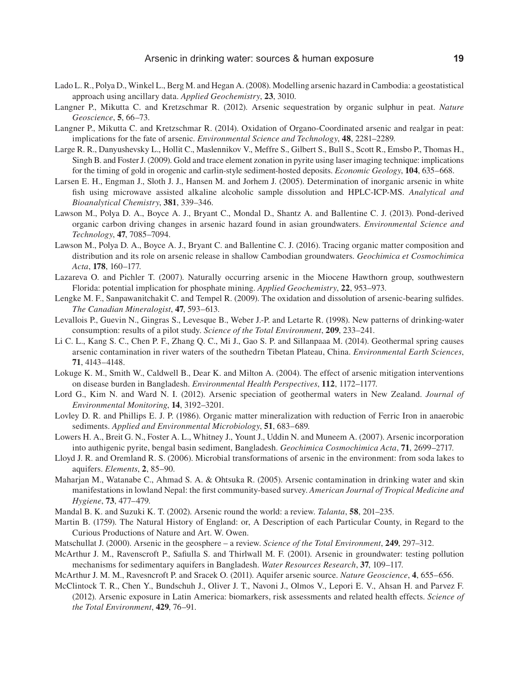- Lado L. R., Polya D., Winkel L., Berg M. and Hegan A. (2008). Modelling arsenic hazard in Cambodia: a geostatistical approach using ancillary data. *Applied Geochemistry*, **23**, 3010.
- Langner P., Mikutta C. and Kretzschmar R. (2012). Arsenic sequestration by organic sulphur in peat. *Nature Geoscience*, **5**, 66–73.
- Langner P., Mikutta C. and Kretzschmar R. (2014). Oxidation of Organo-Coordinated arsenic and realgar in peat: implications for the fate of arsenic. *Environmental Science and Technology*, **48**, 2281–2289.
- Large R. R., Danyushevsky L., Hollit C., Maslennikov V., Meffre S., Gilbert S., Bull S., Scott R., Emsbo P., Thomas H., Singh B. and Foster J. (2009). Gold and trace element zonation in pyrite using laser imaging technique: implications for the timing of gold in orogenic and carlin-style sediment-hosted deposits. *Economic Geology*, **104**, 635–668.
- Larsen E. H., Engman J., Sloth J. J., Hansen M. and Jorhem J. (2005). Determination of inorganic arsenic in white fish using microwave assisted alkaline alcoholic sample dissolution and HPLC-ICP-MS. *Analytical and Bioanalytical Chemistry*, **381**, 339–346.
- Lawson M., Polya D. A., Boyce A. J., Bryant C., Mondal D., Shantz A. and Ballentine C. J. (2013). Pond-derived organic carbon driving changes in arsenic hazard found in asian groundwaters. *Environmental Science and Technology*, **47**, 7085–7094.
- Lawson M., Polya D. A., Boyce A. J., Bryant C. and Ballentine C. J. (2016). Tracing organic matter composition and distribution and its role on arsenic release in shallow Cambodian groundwaters. *Geochimica et Cosmochimica Acta*, **178**, 160–177.
- Lazareva O. and Pichler T. (2007). Naturally occurring arsenic in the Miocene Hawthorn group, southwestern Florida: potential implication for phosphate mining. *Applied Geochemistry*, **22**, 953–973.
- Lengke M. F., Sanpawanitchakit C. and Tempel R. (2009). The oxidation and dissolution of arsenic-bearing sulfides. *The Canadian Mineralogist*, **47**, 593–613.
- Levallois P., Guevin N., Gingras S., Levesque B., Weber J.-P. and Letarte R. (1998). New patterns of drinking-water consumption: results of a pilot study. *Science of the Total Environment*, **209**, 233–241.
- Li C. L., Kang S. C., Chen P. F., Zhang Q. C., Mi J., Gao S. P. and Sillanpaaa M. (2014). Geothermal spring causes arsenic contamination in river waters of the southedrn Tibetan Plateau, China. *Environmental Earth Sciences*, **71**, 4143–4148.
- Lokuge K. M., Smith W., Caldwell B., Dear K. and Milton A. (2004). The effect of arsenic mitigation interventions on disease burden in Bangladesh. *Environmental Health Perspectives*, **112**, 1172–1177.
- Lord G., Kim N. and Ward N. I. (2012). Arsenic speciation of geothermal waters in New Zealand. *Journal of Environmental Monitoring*, **14**, 3192–3201.
- Lovley D. R. and Phillips E. J. P. (1986). Organic matter mineralization with reduction of Ferric Iron in anaerobic sediments. *Applied and Environmental Microbiology*, **51**, 683–689.
- Lowers H. A., Breit G. N., Foster A. L., Whitney J., Yount J., Uddin N. and Muneem A. (2007). Arsenic incorporation into authigenic pyrite, bengal basin sediment, Bangladesh. *Geochimica Cosmochimica Acta*, **71**, 2699–2717.
- Lloyd J. R. and Oremland R. S. (2006). Microbial transformations of arsenic in the environment: from soda lakes to aquifers. *Elements*, **2**, 85–90.
- Maharjan M., Watanabe C., Ahmad S. A. & Ohtsuka R. (2005). Arsenic contamination in drinking water and skin manifestations in lowland Nepal: the first community-based survey. *American Journal of Tropical Medicine and Hygiene*, **73**, 477–479.
- Mandal B. K. and Suzuki K. T. (2002). Arsenic round the world: a review. *Talanta*, **58**, 201–235.
- Martin B. (1759). The Natural History of England: or, A Description of each Particular County, in Regard to the Curious Productions of Nature and Art. W. Owen.
- Matschullat J. (2000). Arsenic in the geosphere a review. *Science of the Total Environment*, **249**, 297–312.
- McArthur J. M., Ravenscroft P., Safiulla S. and Thirlwall M. F. (2001). Arsenic in groundwater: testing pollution mechanisms for sedimentary aquifers in Bangladesh. *Water Resources Research*, **37**, 109–117.

McArthur J. M. M., Ravesncroft P. and Sracek O. (2011). Aquifer arsenic source. *Nature Geoscience*, **4**, 655–656.

McClintock T. R., Chen Y., Bundschuh J., Oliver J. T., Navoni J., Olmos V., Lepori E. V., Ahsan H. and Parvez F. (2012). Arsenic exposure in Latin America: biomarkers, risk assessments and related health effects. *Science of the Total Environment*, **429**, 76–91.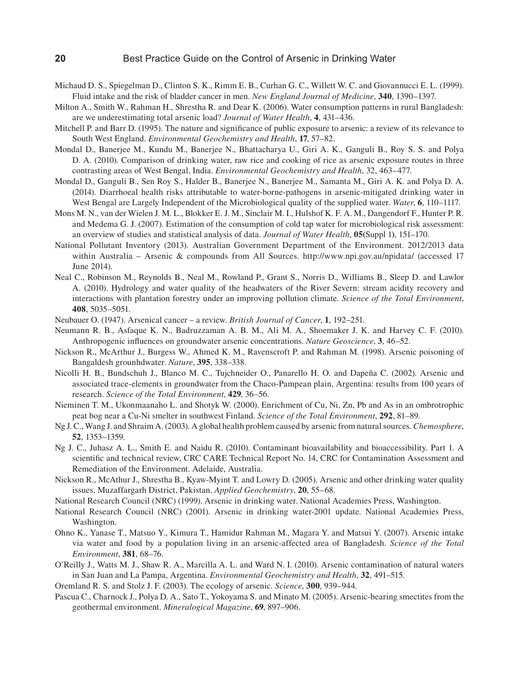- Michaud D. S., Spiegelman D., Clinton S. K., Rimm E. B., Curhan G. C., Willett W. C. and Giovannucci E. L. (1999). Fluid intake and the risk of bladder cancer in men. *New England Journal of Medicine*, **340**, 1390–1397.
- Milton A., Smith W., Rahman H., Shrestha R. and Dear K. (2006). Water consumption patterns in rural Bangladesh: are we underestimating total arsenic load? *Journal of Water Health*, **4**, 431–436.
- Mitchell P. and Barr D. (1995). The nature and significance of public exposure to arsenic: a review of its relevance to South West England. *Environmental Geochemistry and Health*, **17**, 57–82.
- Mondal D., Banerjee M., Kundu M., Banerjee N., Bhattacharya U., Giri A. K., Ganguli B., Roy S. S. and Polya D. A. (2010). Comparison of drinking water, raw rice and cooking of rice as arsenic exposure routes in three contrasting areas of West Bengal, India. *Environmental Geochemistry and Health*, 32, 463–477.
- Mondal D., Ganguli B., Sen Roy S., Halder B., Banerjee N., Banerjee M., Samanta M., Giri A. K. and Polya D. A. (2014). Diarrhoeal health risks attributable to water-borne-pathogens in arsenic-mitigated drinking water in West Bengal are Largely Independent of the Microbiological quality of the supplied water. *Water*, **6**, 110–1117.
- Mons M. N., van der Wielen J. M. L., Blokker E. J. M., Sinclair M. I., Hulshof K. F. A. M., Dangendorf F., Hunter P. R. and Medema G. J. (2007). Estimation of the consumption of cold tap water for microbiological risk assessment: an overview of studies and statistical analysis of data. *Journal of Water Health*, **05(**Suppl 1**)**, 151–170.
- National Pollutant Inventory (2013). Australian Government Department of the Environment. 2012/2013 data within Australia – Arsenic & compounds from All Sources. http://www.npi.gov.au/npidata/ (accessed 17 June 2014).
- Neal C., Robinson M., Reynolds B., Neal M., Rowland P., Grant S., Norris D., Williams B., Sleep D. and Lawlor A. (2010). Hydrology and water quality of the headwaters of the River Severn: stream acidity recovery and interactions with plantation forestry under an improving pollution climate. *Science of the Total Environment*, **408**, 5035–5051.
- Neubauer O. (1947). Arsenical cancer a review. *British Journal of Cancer*, **1**, 192–251.
- Neumann R. B., Asfaque K. N., Badruzzaman A. B. M., Ali M. A., Shoemaker J. K. and Harvey C. F. (2010). Anthropogenic influences on groundwater arsenic concentrations. *Nature Geoscience*, **3**, 46–52.
- Nickson R., McArthur J., Burgess W., Ahmed K. M., Ravenscroft P. and Rahman M. (1998). Arsenic poisoning of Bangaldesh grounhdwater. *Nature*, **395**, 338–338.
- Nicolli H. B., Bundschuh J., Blanco M. C., Tujchneider O., Panarello H. O. and Dapeña C. (2002). Arsenic and associated trace-elements in groundwater from the Chaco-Pampean plain, Argentina: results from 100 years of research. *Science of the Total Environment*, **429**, 36–56.
- Nieminen T. M., Ukonmaanaho L. and Shotyk W. (2000). Enrichment of Cu, Ni, Zn, Pb and As in an ombrotrophic peat bog near a Cu-Ni smelter in southwest Finland. *Science of the Total Environment*, **292**, 81–89.
- Ng J. C., Wang J. and Shraim A. (2003). A global health problem caused by arsenic from natural sources. *Chemosphere*, **52**, 1353–1359.
- Ng J. C., Juhasz A. L., Smith E. and Naidu R. (2010). Contaminant bioavailability and bioaccessibility. Part 1. A scientific and technical review, CRC CARE Technical Report No. 14, CRC for Contamination Assessment and Remediation of the Environment. Adelaide, Australia.
- Nickson R., McAthur J., Shrestha B., Kyaw-Myint T. and Lowry D. (2005). Arsenic and other drinking water quality issues, Muzaffargarh District, Pakistan. *Applied Geochemistry*, **20**, 55–68.
- National Research Council (NRC) (1999). Arsenic in drinking water. National Academies Press, Washington.
- National Research Council (NRC) (2001). Arsenic in drinking water-2001 update. National Academies Press, Washington.
- Ohno K., Yanase T., Matsuo Y., Kimura T., Hamidur Rahman M., Magara Y. and Matsui Y. (2007). Arsenic intake via water and food by a population living in an arsenic-affected area of Bangladesh. *Science of the Total Environment*, **381**, 68–76.
- O'Reilly J., Watts M. J., Shaw R. A., Marcilla A. L. and Ward N. I. (2010). Arsenic contamination of natural waters in San Juan and La Pampa, Argentina. *Environmental Geochemistry and Health*, **32**, 491–515.
- Oremland R. S. and Stolz J. F. (2003). The ecology of arsenic. *Science*, **300**, 939–944.
- Pascua C., Charnock J., Polya D. A., Sato T., Yokoyama S. and Minato M. (2005). Arsenic-bearing smectites from the geothermal environment. *Mineralogical Magazine*, **69**, 897–906.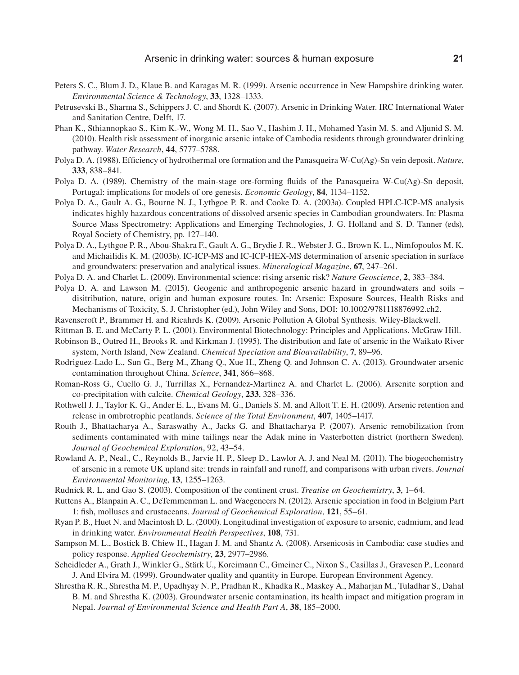- Peters S. C., Blum J. D., Klaue B. and Karagas M. R. (1999). Arsenic occurrence in New Hampshire drinking water. *Environmental Science & Technology*, **33**, 1328–1333.
- Petrusevski B., Sharma S., Schippers J. C. and Shordt K. (2007). Arsenic in Drinking Water. IRC International Water and Sanitation Centre, Delft, 17.
- Phan K., Sthiannopkao S., Kim K.-W., Wong M. H., Sao V., Hashim J. H., Mohamed Yasin M. S. and Aljunid S. M. (2010). Health risk assessment of inorganic arsenic intake of Cambodia residents through groundwater drinking pathway. *Water Research*, **44**, 5777–5788.
- Polya D. A. (1988). Efficiency of hydrothermal ore formation and the Panasqueira W-Cu(Ag)-Sn vein deposit. *Nature*, **333**, 838–841.
- Polya D. A. (1989). Chemistry of the main-stage ore-forming fluids of the Panasqueira W-Cu(Ag)-Sn deposit, Portugal: implications for models of ore genesis. *Economic Geology*, **84**, 1134–1152.
- Polya D. A., Gault A. G., Bourne N. J., Lythgoe P. R. and Cooke D. A. (2003a). Coupled HPLC-ICP-MS analysis indicates highly hazardous concentrations of dissolved arsenic species in Cambodian groundwaters. In: Plasma Source Mass Spectrometry: Applications and Emerging Technologies, J. G. Holland and S. D. Tanner (eds), Royal Society of Chemistry, pp. 127–140.
- Polya D. A., Lythgoe P. R., Abou-Shakra F., Gault A. G., Brydie J. R., Webster J. G., Brown K. L., Nimfopoulos M. K. and Michailidis K. M. (2003b). IC-ICP-MS and IC-ICP-HEX-MS determination of arsenic speciation in surface and groundwaters: preservation and analytical issues. *Mineralogical Magazine*, **67**, 247–261.
- Polya D. A. and Charlet L. (2009). Environmental science: rising arsenic risk? *Nature Geoscience*, **2**, 383–384.
- Polya D. A. and Lawson M. (2015). Geogenic and anthropogenic arsenic hazard in groundwaters and soils disitribution, nature, origin and human exposure routes. In: Arsenic: Exposure Sources, Health Risks and Mechanisms of Toxicity, S. J. Christopher (ed.), John Wiley and Sons, DOI: 10.1002/9781118876992.ch2.
- Ravenscroft P., Brammer H. and Ricahrds K. (2009). Arsenic Pollution A Global Synthesis. Wiley-Blackwell.
- Rittman B. E. and McCarty P. L. (2001). Environmental Biotechnology: Principles and Applications. McGraw Hill.
- Robinson B., Outred H., Brooks R. and Kirkman J. (1995). The distribution and fate of arsenic in the Waikato River system, North Island, New Zealand. *Chemical Speciation and Bioavailability*, **7**, 89–96.
- Rodriguez-Lado L., Sun G., Berg M., Zhang Q., Xue H., Zheng Q. and Johnson C. A. (2013). Groundwater arsenic contamination throughout China. *Science*, **341**, 866–868.
- Roman-Ross G., Cuello G. J., Turrillas X., Fernandez-Martinez A. and Charlet L. (2006). Arsenite sorption and co-precipitation with calcite. *Chemical Geology*, **233**, 328–336.
- Rothwell J. J., Taylor K. G., Ander E. L., Evans M. G., Daniels S. M. and Allott T. E. H. (2009). Arsenic retention and release in ombrotrophic peatlands. *Science of the Total Environment*, **407**, 1405–1417.
- Routh J., Bhattacharya A., Saraswathy A., Jacks G. and Bhattacharya P. (2007). Arsenic remobilization from sediments contaminated with mine tailings near the Adak mine in Vasterbotten district (northern Sweden). *Journal of Geochemical Exploration*, 92, 43–54.
- Rowland A. P., Neal., C., Reynolds B., Jarvie H. P., Sleep D., Lawlor A. J. and Neal M. (2011). The biogeochemistry of arsenic in a remote UK upland site: trends in rainfall and runoff, and comparisons with urban rivers. *Journal Environmental Monitoring*, **13**, 1255–1263.
- Rudnick R. L. and Gao S. (2003). Composition of the continent crust. *Treatise on Geochemistry*, **3**, 1–64.
- Ruttens A., Blanpain A. C., DeTemmenman L. and Waegeneers N. (2012). Arsenic speciation in food in Belgium Part 1: fish, molluscs and crustaceans. *Journal of Geochemical Exploration*, **121**, 55–61.
- Ryan P. B., Huet N. and Macintosh D. L. (2000). Longitudinal investigation of exposure to arsenic, cadmium, and lead in drinking water. *Environmental Health Perspectives*, **108**, 731.
- Sampson M. L., Bostick B. Chiew H., Hagan J. M. and Shantz A. (2008). Arsenicosis in Cambodia: case studies and policy response. *Applied Geochemistry*, **23**, 2977–2986.
- Scheidleder A., Grath J., Winkler G., Stärk U., Koreimann C., Gmeiner C., Nixon S., Casillas J., Gravesen P., Leonard J. And Elvira M. (1999). Groundwater quality and quantity in Europe. European Environment Agency.
- Shrestha R. R., Shrestha M. P., Upadhyay N. P., Pradhan R., Khadka R., Maskey A., Maharjan M., Tuladhar S., Dahal B. M. and Shrestha K. (2003). Groundwater arsenic contamination, its health impact and mitigation program in Nepal. *Journal of Environmental Science and Health Part A*, **38**, 185–2000.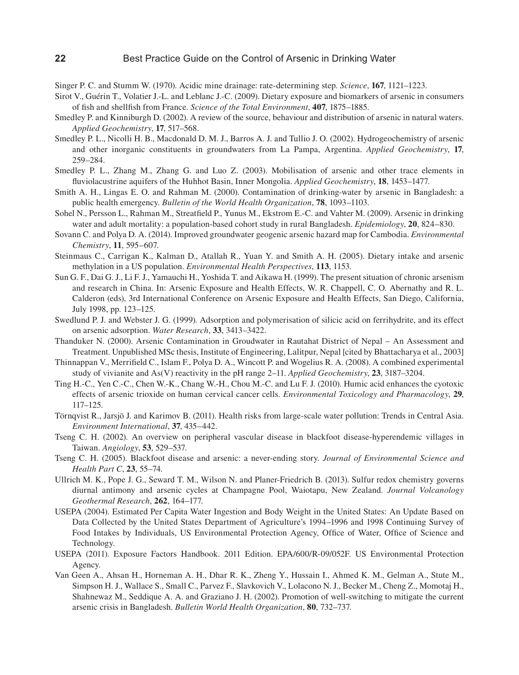- Singer P. C. and Stumm W. (1970). Acidic mine drainage: rate-determining step. *Science*, **167**, 1121–1223.
- Sirot V., Guérin T., Volatier J.-L. and Leblanc J.-C. (2009). Dietary exposure and biomarkers of arsenic in consumers of fish and shellfish from France. *Science of the Total Environment*, **407**, 1875–1885.
- Smedley P. and Kinniburgh D. (2002). A review of the source, behaviour and distribution of arsenic in natural waters. *Applied Geochemistry*, **17**, 517–568.
- Smedley P. L., Nicolli H. B., Macdonald D. M. J., Barros A. J. and Tullio J. O. (2002). Hydrogeochemistry of arsenic and other inorganic constituents in groundwaters from La Pampa, Argentina. *Applied Geochemistry*, **17**, 259–284.
- Smedley P. L., Zhang M., Zhang G. and Luo Z. (2003). Mobilisation of arsenic and other trace elements in fluviolacustrine aquifers of the Huhhot Basin, Inner Mongolia. *Applied Geochemistry*, **18**, 1453–1477.
- Smith A. H., Lingas E. O. and Rahman M. (2000). Contamination of drinking-water by arsenic in Bangladesh: a public health emergency. *Bulletin of the World Health Organization*, **78**, 1093–1103.
- Sohel N., Persson L., Rahman M., Streatfield P., Yunus M., Ekstrom E.-C. and Vahter M. (2009). Arsenic in drinking water and adult mortality: a population-based cohort study in rural Bangladesh. *Epidemiology*, **20**, 824–830.
- Sovann C. and Polya D. A. (2014). Improved groundwater geogenic arsenic hazard map for Cambodia. *Environmental Chemistry*, **11**, 595–607.
- Steinmaus C., Carrigan K., Kalman D., Atallah R., Yuan Y. and Smith A. H. (2005). Dietary intake and arsenic methylation in a US population. *Environmental Health Perspectives*, **113**, 1153.
- Sun G. F., Dai G. J., Li F. J., Yamauchi H., Yoshida T. and Aikawa H. (1999). The present situation of chronic arsenism and research in China. In: Arsenic Exposure and Health Effects, W. R. Chappell, C. O. Abernathy and R. L. Calderon (eds), 3rd International Conference on Arsenic Exposure and Health Effects, San Diego, California, July 1998, pp. 123–125.
- Swedlund P. J. and Webster J. G. (1999). Adsorption and polymerisation of silicic acid on ferrihydrite, and its effect on arsenic adsorption. *Water Research*, **33**, 3413–3422.
- Thanduker N. (2000). Arsenic Contamination in Groudwater in Rautahat District of Nepal An Assessment and Treatment. Unpublished MSc thesis, Institute of Engineering, Lalitpur, Nepal [cited by Bhattacharya et al., 2003]
- Thinnappan V., Merrifield C., Islam F., Polya D. A., Wincott P. and Wogelius R. A. (2008). A combined experimental study of vivianite and As(V) reactivity in the pH range 2–11. *Applied Geochemistry*, **23**, 3187–3204.
- Ting H.-C., Yen C.-C., Chen W.-K., Chang W.-H., Chou M.-C. and Lu F. J. (2010). Humic acid enhances the cyotoxic effects of arsenic trioxide on human cervical cancer cells. *Environmental Toxicology and Pharmacology*, **29**, 117–125.
- Törnqvist R., Jarsjö J. and Karimov B. (2011). Health risks from large-scale water pollution: Trends in Central Asia. *Environment International*, **37**, 435–442.
- Tseng C. H. (2002). An overview on peripheral vascular disease in blackfoot disease-hyperendemic villages in Taiwan. *Angiology*, **53**, 529–537.
- Tseng C. H. (2005). Blackfoot disease and arsenic: a never-ending story. *Journal of Environmental Science and Health Part C*, **23**, 55–74.
- Ullrich M. K., Pope J. G., Seward T. M., Wilson N. and Planer-Friedrich B. (2013). Sulfur redox chemistry governs diurnal antimony and arsenic cycles at Champagne Pool, Waiotapu, New Zealand. *Journal Volcanology Geothermal Research*, **262**, 164–177.
- USEPA (2004). Estimated Per Capita Water Ingestion and Body Weight in the United States: An Update Based on Data Collected by the United States Department of Agriculture's 1994–1996 and 1998 Continuing Survey of Food Intakes by Individuals, US Environmental Protection Agency, Office of Water, Office of Science and Technology.
- USEPA (2011). Exposure Factors Handbook. 2011 Edition. EPA/600/R-09/052F. US Environmental Protection Agency.
- Van Geen A., Ahsan H., Horneman A. H., Dhar R. K., Zheng Y., Hussain I., Ahmed K. M., Gelman A., Stute M., Simpson H. J., Wallace S., Small C., Parvez F., Slavkovich V., Lolacono N. J., Becker M., Cheng Z., Momotaj H., Shahnewaz M., Seddique A. A. and Graziano J. H. (2002). Promotion of well-switching to mitigate the current arsenic crisis in Bangladesh. *Bulletin World Health Organization*, **80**, 732–737.